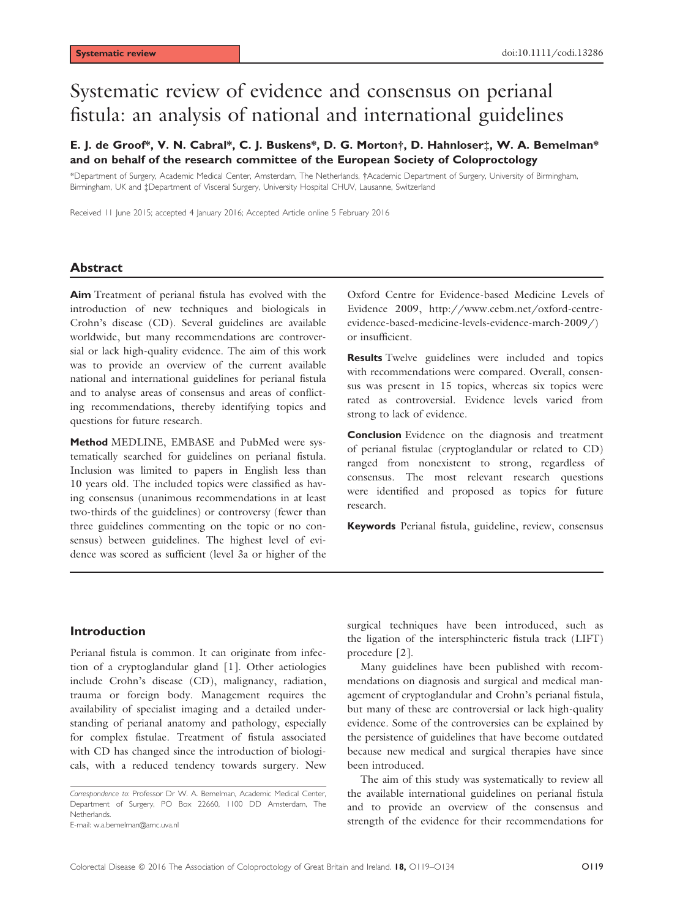# Systematic review of evidence and consensus on perianal fistula: an analysis of national and international guidelines

# E. J. de Groof\*, V. N. Cabral\*, C. J. Buskens\*, D. G. Morton†, D. Hahnloser‡, W. A. Bemelman\* and on behalf of the research committee of the European Society of Coloproctology

\*Department of Surgery, Academic Medical Center, Amsterdam, The Netherlands, †Academic Department of Surgery, University of Birmingham, Birmingham, UK and ‡Department of Visceral Surgery, University Hospital CHUV, Lausanne, Switzerland

Received 11 June 2015; accepted 4 January 2016; Accepted Article online 5 February 2016

# Abstract

Aim Treatment of perianal fistula has evolved with the introduction of new techniques and biologicals in Crohn's disease (CD). Several guidelines are available worldwide, but many recommendations are controversial or lack high-quality evidence. The aim of this work was to provide an overview of the current available national and international guidelines for perianal fistula and to analyse areas of consensus and areas of conflicting recommendations, thereby identifying topics and questions for future research.

Method MEDLINE, EMBASE and PubMed were systematically searched for guidelines on perianal fistula. Inclusion was limited to papers in English less than 10 years old. The included topics were classified as having consensus (unanimous recommendations in at least two-thirds of the guidelines) or controversy (fewer than three guidelines commenting on the topic or no consensus) between guidelines. The highest level of evidence was scored as sufficient (level 3a or higher of the Oxford Centre for Evidence-based Medicine Levels of Evidence 2009, [http://www.cebm.net/oxford-centre](http://www.cebm.net/oxford-centre-evidence-based-medicine-levels-evidence-march-2009/)[evidence-based-medicine-levels-evidence-march-2009/\)](http://www.cebm.net/oxford-centre-evidence-based-medicine-levels-evidence-march-2009/) or insufficient.

Results Twelve guidelines were included and topics with recommendations were compared. Overall, consensus was present in 15 topics, whereas six topics were rated as controversial. Evidence levels varied from strong to lack of evidence.

Conclusion Evidence on the diagnosis and treatment of perianal fistulae (cryptoglandular or related to CD) ranged from nonexistent to strong, regardless of consensus. The most relevant research questions were identified and proposed as topics for future research.

Keywords Perianal fistula, guideline, review, consensus

# Introduction

Perianal fistula is common. It can originate from infection of a cryptoglandular gland [1]. Other aetiologies include Crohn's disease (CD), malignancy, radiation, trauma or foreign body. Management requires the availability of specialist imaging and a detailed understanding of perianal anatomy and pathology, especially for complex fistulae. Treatment of fistula associated with CD has changed since the introduction of biologicals, with a reduced tendency towards surgery. New

E-mail: w.a.bemelman@amc.uva.nl

surgical techniques have been introduced, such as the ligation of the intersphincteric fistula track (LIFT) procedure [2].

Many guidelines have been published with recommendations on diagnosis and surgical and medical management of cryptoglandular and Crohn's perianal fistula, but many of these are controversial or lack high-quality evidence. Some of the controversies can be explained by the persistence of guidelines that have become outdated because new medical and surgical therapies have since been introduced.

The aim of this study was systematically to review all the available international guidelines on perianal fistula and to provide an overview of the consensus and strength of the evidence for their recommendations for

Correspondence to: Professor Dr W. A. Bemelman, Academic Medical Center, Department of Surgery, PO Box 22660, 1100 DD Amsterdam, The Netherlands.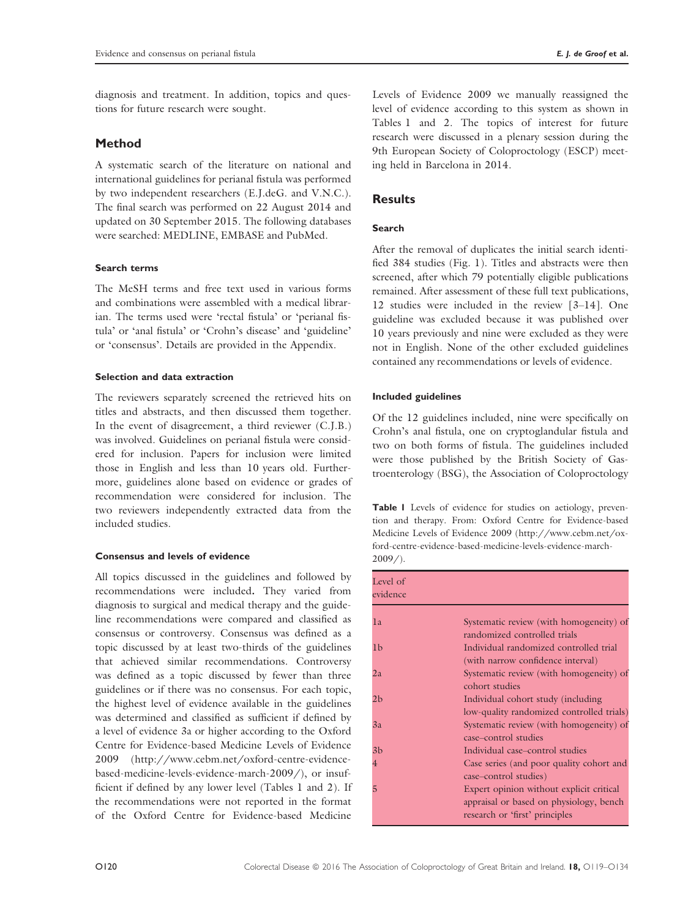diagnosis and treatment. In addition, topics and questions for future research were sought.

# Method

A systematic search of the literature on national and international guidelines for perianal fistula was performed by two independent researchers (E.J.deG. and V.N.C.). The final search was performed on 22 August 2014 and updated on 30 September 2015. The following databases were searched: MEDLINE, EMBASE and PubMed.

# Search terms

The MeSH terms and free text used in various forms and combinations were assembled with a medical librarian. The terms used were 'rectal fistula' or 'perianal fistula' or 'anal fistula' or 'Crohn's disease' and 'guideline' or 'consensus'. Details are provided in the Appendix.

# Selection and data extraction

The reviewers separately screened the retrieved hits on titles and abstracts, and then discussed them together. In the event of disagreement, a third reviewer (C.J.B.) was involved. Guidelines on perianal fistula were considered for inclusion. Papers for inclusion were limited those in English and less than 10 years old. Furthermore, guidelines alone based on evidence or grades of recommendation were considered for inclusion. The two reviewers independently extracted data from the included studies.

#### Consensus and levels of evidence

All topics discussed in the guidelines and followed by recommendations were included. They varied from diagnosis to surgical and medical therapy and the guideline recommendations were compared and classified as consensus or controversy. Consensus was defined as a topic discussed by at least two-thirds of the guidelines that achieved similar recommendations. Controversy was defined as a topic discussed by fewer than three guidelines or if there was no consensus. For each topic, the highest level of evidence available in the guidelines was determined and classified as sufficient if defined by a level of evidence 3a or higher according to the Oxford Centre for Evidence-based Medicine Levels of Evidence 2009 ([http://www.cebm.net/oxford-centre-evidence](http://www.cebm.net/oxford-centre-evidence-based-medicine-levels-evidence-march-2009/)[based-medicine-levels-evidence-march-2009/\)](http://www.cebm.net/oxford-centre-evidence-based-medicine-levels-evidence-march-2009/), or insufficient if defined by any lower level (Tables 1 and 2). If the recommendations were not reported in the format of the Oxford Centre for Evidence-based Medicine

Levels of Evidence 2009 we manually reassigned the level of evidence according to this system as shown in Tables 1 and 2. The topics of interest for future research were discussed in a plenary session during the 9th European Society of Coloproctology (ESCP) meeting held in Barcelona in 2014.

# **Results**

## Search

After the removal of duplicates the initial search identified 384 studies (Fig. 1). Titles and abstracts were then screened, after which 79 potentially eligible publications remained. After assessment of these full text publications, 12 studies were included in the review [3–14]. One guideline was excluded because it was published over 10 years previously and nine were excluded as they were not in English. None of the other excluded guidelines contained any recommendations or levels of evidence.

#### Included guidelines

Of the 12 guidelines included, nine were specifically on Crohn's anal fistula, one on cryptoglandular fistula and two on both forms of fistula. The guidelines included were those published by the British Society of Gastroenterology (BSG), the Association of Coloproctology

Table I Levels of evidence for studies on aetiology, prevention and therapy. From: Oxford Centre for Evidence-based Medicine Levels of Evidence 2009 ([http://www.cebm.net/ox](http://www.cebm.net/oxford-centre-evidence-based-medicine-levels-evidence-march-2009/)[ford-centre-evidence-based-medicine-levels-evidence-march-](http://www.cebm.net/oxford-centre-evidence-based-medicine-levels-evidence-march-2009/)[2009/](http://www.cebm.net/oxford-centre-evidence-based-medicine-levels-evidence-march-2009/)).

| Level of<br>evidence |                                                                                                                       |
|----------------------|-----------------------------------------------------------------------------------------------------------------------|
| 1a                   | Systematic review (with homogeneity) of<br>randomized controlled trials                                               |
| 1b                   | Individual randomized controlled trial<br>(with narrow confidence interval)                                           |
| 2a                   | Systematic review (with homogeneity) of<br>cohort studies                                                             |
| 2 <sub>b</sub>       | Individual cohort study (including<br>low-quality randomized controlled trials)                                       |
| 3a                   | Systematic review (with homogeneity) of<br>case–control studies                                                       |
| 3 <sub>b</sub>       | Individual case–control studies                                                                                       |
| $\overline{4}$       | Case series (and poor quality cohort and<br>case–control studies)                                                     |
| 5                    | Expert opinion without explicit critical<br>appraisal or based on physiology, bench<br>research or 'first' principles |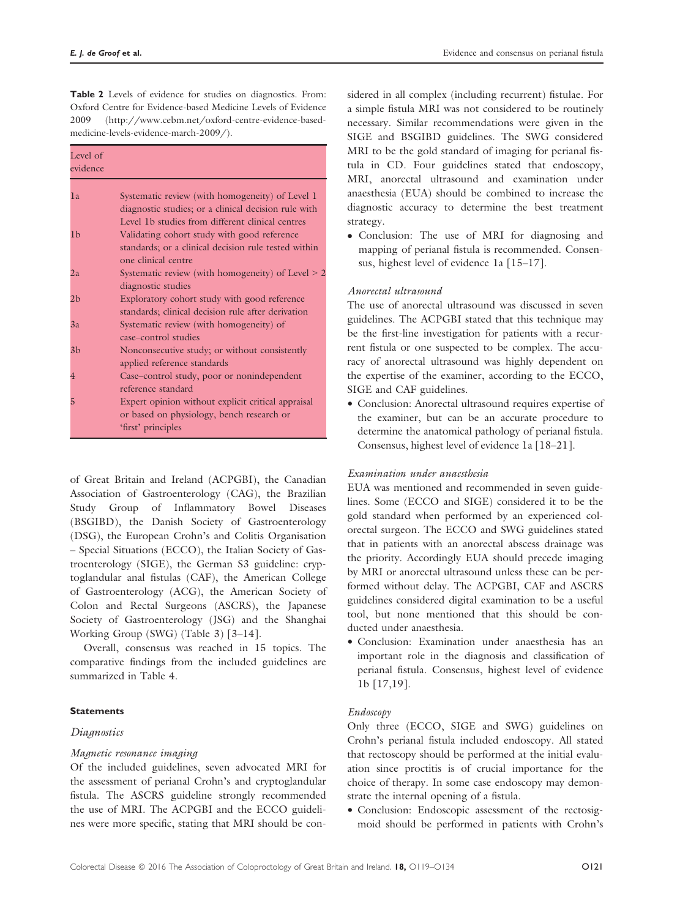Table 2 Levels of evidence for studies on diagnostics. From: Oxford Centre for Evidence-based Medicine Levels of Evidence 2009 ([http://www.cebm.net/oxford-centre-evidence-based](http://www.cebm.net/oxford-centre-evidence-based-medicine-levels-evidence-march-2009/)[medicine-levels-evidence-march-2009/\)](http://www.cebm.net/oxford-centre-evidence-based-medicine-levels-evidence-march-2009/).

| Level of<br>evidence |                                                                                                                                                                                |
|----------------------|--------------------------------------------------------------------------------------------------------------------------------------------------------------------------------|
| 1a                   | Systematic review (with homogeneity) of Level 1<br>diagnostic studies; or a clinical decision rule with                                                                        |
| 1 <sub>b</sub>       | Level 1b studies from different clinical centres<br>Validating cohort study with good reference<br>standards; or a clinical decision rule tested within<br>one clinical centre |
| 2a                   | Systematic review (with homogeneity) of Level $> 2$                                                                                                                            |
| 2 <sub>b</sub>       | diagnostic studies<br>Exploratory cohort study with good reference<br>standards; clinical decision rule after derivation                                                       |
| 3a                   | Systematic review (with homogeneity) of                                                                                                                                        |
| 3 <sub>b</sub>       | case-control studies<br>Nonconsecutive study; or without consistently<br>applied reference standards                                                                           |
| 4                    | Case–control study, poor or nonindependent<br>reference standard                                                                                                               |
| 5                    | Expert opinion without explicit critical appraisal<br>or based on physiology, bench research or<br>'first' principles                                                          |

of Great Britain and Ireland (ACPGBI), the Canadian Association of Gastroenterology (CAG), the Brazilian Study Group of Inflammatory Bowel Diseases (BSGIBD), the Danish Society of Gastroenterology (DSG), the European Crohn's and Colitis Organisation – Special Situations (ECCO), the Italian Society of Gastroenterology (SIGE), the German S3 guideline: cryptoglandular anal fistulas (CAF), the American College of Gastroenterology (ACG), the American Society of Colon and Rectal Surgeons (ASCRS), the Japanese Society of Gastroenterology (JSG) and the Shanghai Working Group (SWG) (Table 3) [3–14].

Overall, consensus was reached in 15 topics. The comparative findings from the included guidelines are summarized in Table 4.

## **Statements**

#### Diagnostics

## Magnetic resonance imaging

Of the included guidelines, seven advocated MRI for the assessment of perianal Crohn's and cryptoglandular fistula. The ASCRS guideline strongly recommended the use of MRI. The ACPGBI and the ECCO guidelines were more specific, stating that MRI should be considered in all complex (including recurrent) fistulae. For a simple fistula MRI was not considered to be routinely necessary. Similar recommendations were given in the SIGE and BSGIBD guidelines. The SWG considered MRI to be the gold standard of imaging for perianal fistula in CD. Four guidelines stated that endoscopy, MRI, anorectal ultrasound and examination under anaesthesia (EUA) should be combined to increase the diagnostic accuracy to determine the best treatment strategy.

• Conclusion: The use of MRI for diagnosing and mapping of perianal fistula is recommended. Consensus, highest level of evidence 1a [15–17].

## Anorectal ultrasound

The use of anorectal ultrasound was discussed in seven guidelines. The ACPGBI stated that this technique may be the first-line investigation for patients with a recurrent fistula or one suspected to be complex. The accuracy of anorectal ultrasound was highly dependent on the expertise of the examiner, according to the ECCO, SIGE and CAF guidelines.

• Conclusion: Anorectal ultrasound requires expertise of the examiner, but can be an accurate procedure to determine the anatomical pathology of perianal fistula. Consensus, highest level of evidence 1a [18–21].

#### Examination under anaesthesia

EUA was mentioned and recommended in seven guidelines. Some (ECCO and SIGE) considered it to be the gold standard when performed by an experienced colorectal surgeon. The ECCO and SWG guidelines stated that in patients with an anorectal abscess drainage was the priority. Accordingly EUA should precede imaging by MRI or anorectal ultrasound unless these can be performed without delay. The ACPGBI, CAF and ASCRS guidelines considered digital examination to be a useful tool, but none mentioned that this should be conducted under anaesthesia.

• Conclusion: Examination under anaesthesia has an important role in the diagnosis and classification of perianal fistula. Consensus, highest level of evidence 1b [17,19].

#### Endoscopy

Only three (ECCO, SIGE and SWG) guidelines on Crohn's perianal fistula included endoscopy. All stated that rectoscopy should be performed at the initial evaluation since proctitis is of crucial importance for the choice of therapy. In some case endoscopy may demonstrate the internal opening of a fistula.

• Conclusion: Endoscopic assessment of the rectosigmoid should be performed in patients with Crohn's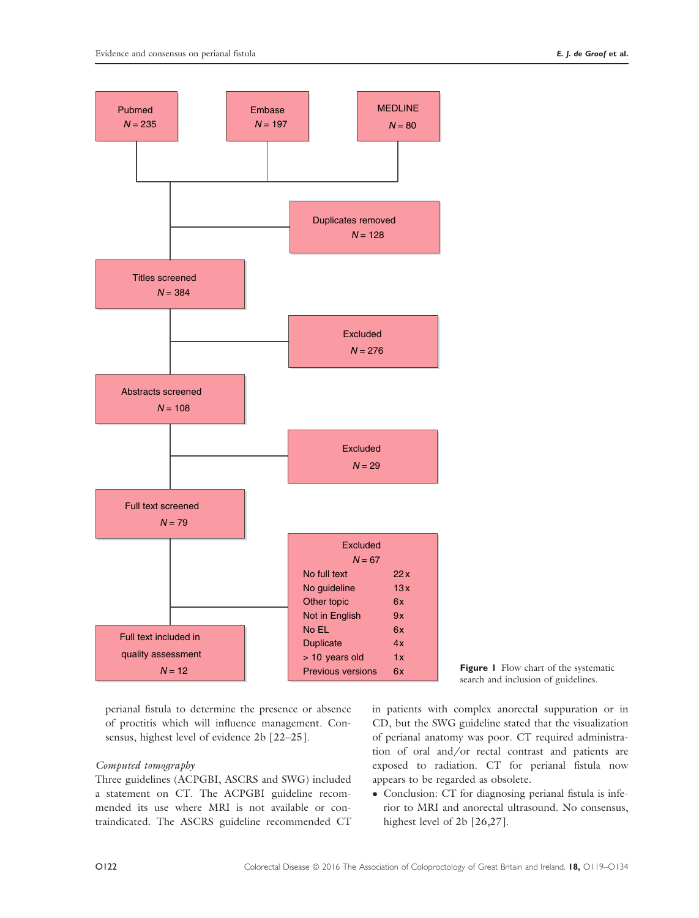

search and inclusion of guidelines.

perianal fistula to determine the presence or absence of proctitis which will influence management. Consensus, highest level of evidence 2b [22–25].

# Computed tomography

Three guidelines (ACPGBI, ASCRS and SWG) included a statement on CT. The ACPGBI guideline recommended its use where MRI is not available or contraindicated. The ASCRS guideline recommended CT in patients with complex anorectal suppuration or in CD, but the SWG guideline stated that the visualization of perianal anatomy was poor. CT required administration of oral and/or rectal contrast and patients are exposed to radiation. CT for perianal fistula now appears to be regarded as obsolete.

 Conclusion: CT for diagnosing perianal fistula is inferior to MRI and anorectal ultrasound. No consensus, highest level of 2b [26,27].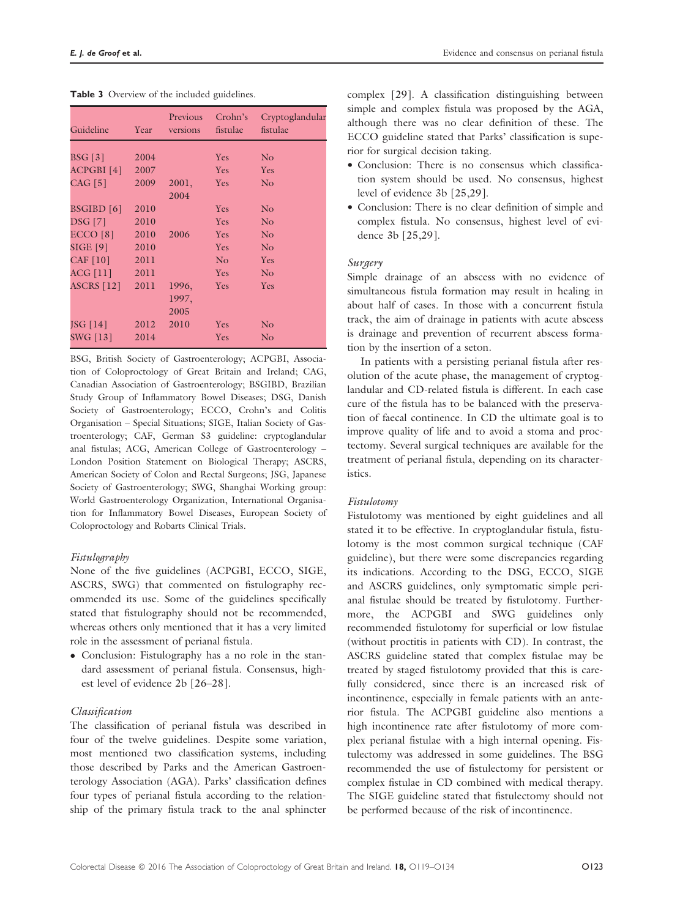Table 3 Overview of the included guidelines.

| Guideline         | Year | Previous<br>versions | Crohn's<br>fistulae | Cryptoglandular<br>fistulae |
|-------------------|------|----------------------|---------------------|-----------------------------|
|                   |      |                      |                     |                             |
| BSG[3]            | 2004 |                      | Yes.                | N <sub>o</sub>              |
| ACPGBI [4]        | 2007 |                      | Yes.                | <b>Yes</b>                  |
| CAG $[5]$         | 2009 | 2001,                | Yes                 | No                          |
|                   |      | 2004                 |                     |                             |
| <b>BSGIBD</b> [6] | 2010 |                      | Yes                 | No                          |
| <b>DSG</b> [7]    | 2010 |                      | Yes.                | No                          |
| ECCO [8]          | 2010 | 2006                 | Yes.                | No                          |
| SIGE [9]          | 2010 |                      | Yes \,              | No                          |
| CAF[10]           | 2011 |                      | No                  | Yes                         |
| ACG [11]          | 2011 |                      | Yes.                | N <sub>o</sub>              |
| <b>ASCRS</b> [12] | 2011 | 1996,                | <b>Yes</b>          | Yes                         |
|                   |      | 1997,                |                     |                             |
|                   |      | 2005                 |                     |                             |
| JSG [14]          | 2012 | 2010                 | <b>Yes</b>          | No                          |
| <b>SWG [13]</b>   | 2014 |                      | Yes                 | $\rm No$                    |
|                   |      |                      |                     |                             |

BSG, British Society of Gastroenterology; ACPGBI, Association of Coloproctology of Great Britain and Ireland; CAG, Canadian Association of Gastroenterology; BSGIBD, Brazilian Study Group of Inflammatory Bowel Diseases; DSG, Danish Society of Gastroenterology; ECCO, Crohn's and Colitis Organisation – Special Situations; SIGE, Italian Society of Gastroenterology; CAF, German S3 guideline: cryptoglandular anal fistulas; ACG, American College of Gastroenterology – London Position Statement on Biological Therapy; ASCRS, American Society of Colon and Rectal Surgeons; JSG, Japanese Society of Gastroenterology; SWG, Shanghai Working group: World Gastroenterology Organization, International Organisation for Inflammatory Bowel Diseases, European Society of Coloproctology and Robarts Clinical Trials.

## Fistulography

None of the five guidelines (ACPGBI, ECCO, SIGE, ASCRS, SWG) that commented on fistulography recommended its use. Some of the guidelines specifically stated that fistulography should not be recommended, whereas others only mentioned that it has a very limited role in the assessment of perianal fistula.

• Conclusion: Fistulography has a no role in the standard assessment of perianal fistula. Consensus, highest level of evidence 2b [26–28].

# Classification

The classification of perianal fistula was described in four of the twelve guidelines. Despite some variation, most mentioned two classification systems, including those described by Parks and the American Gastroenterology Association (AGA). Parks' classification defines four types of perianal fistula according to the relationship of the primary fistula track to the anal sphincter

complex [29]. A classification distinguishing between simple and complex fistula was proposed by the AGA, although there was no clear definition of these. The ECCO guideline stated that Parks' classification is superior for surgical decision taking.

- Conclusion: There is no consensus which classification system should be used. No consensus, highest level of evidence 3b [25,29].
- Conclusion: There is no clear definition of simple and complex fistula. No consensus, highest level of evidence 3b [25,29].

## Surgery

Simple drainage of an abscess with no evidence of simultaneous fistula formation may result in healing in about half of cases. In those with a concurrent fistula track, the aim of drainage in patients with acute abscess is drainage and prevention of recurrent abscess formation by the insertion of a seton.

In patients with a persisting perianal fistula after resolution of the acute phase, the management of cryptoglandular and CD-related fistula is different. In each case cure of the fistula has to be balanced with the preservation of faecal continence. In CD the ultimate goal is to improve quality of life and to avoid a stoma and proctectomy. Several surgical techniques are available for the treatment of perianal fistula, depending on its characteristics.

## Fistulotomy

Fistulotomy was mentioned by eight guidelines and all stated it to be effective. In cryptoglandular fistula, fistulotomy is the most common surgical technique (CAF guideline), but there were some discrepancies regarding its indications. According to the DSG, ECCO, SIGE and ASCRS guidelines, only symptomatic simple perianal fistulae should be treated by fistulotomy. Furthermore, the ACPGBI and SWG guidelines only recommended fistulotomy for superficial or low fistulae (without proctitis in patients with CD). In contrast, the ASCRS guideline stated that complex fistulae may be treated by staged fistulotomy provided that this is carefully considered, since there is an increased risk of incontinence, especially in female patients with an anterior fistula. The ACPGBI guideline also mentions a high incontinence rate after fistulotomy of more complex perianal fistulae with a high internal opening. Fistulectomy was addressed in some guidelines. The BSG recommended the use of fistulectomy for persistent or complex fistulae in CD combined with medical therapy. The SIGE guideline stated that fistulectomy should not be performed because of the risk of incontinence.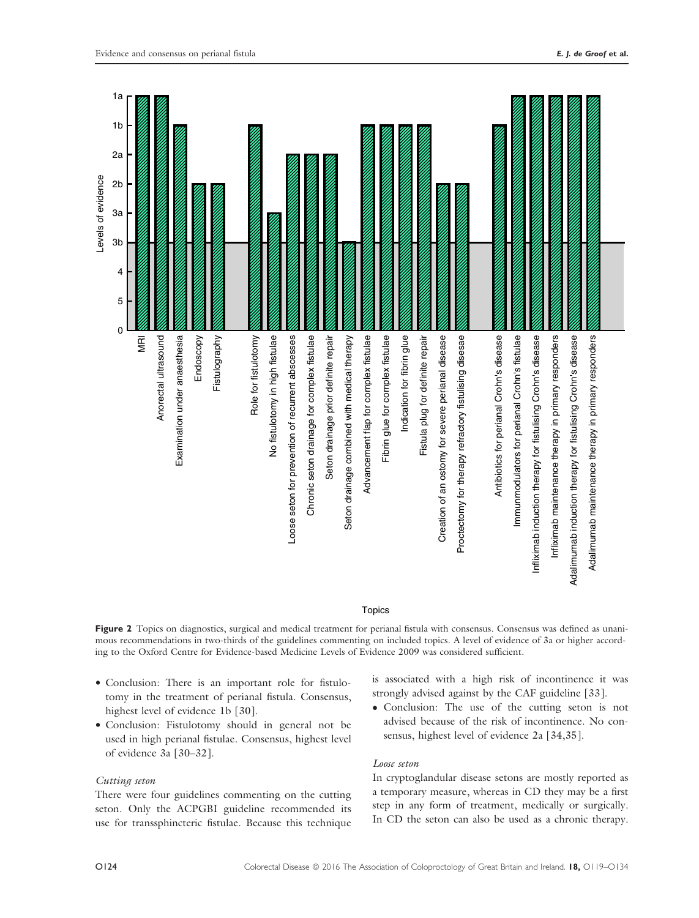

#### **Topics**

Figure 2 Topics on diagnostics, surgical and medical treatment for perianal fistula with consensus. Consensus was defined as unanimous recommendations in two-thirds of the guidelines commenting on included topics. A level of evidence of 3a or higher according to the Oxford Centre for Evidence-based Medicine Levels of Evidence 2009 was considered sufficient.

- Conclusion: There is an important role for fistulotomy in the treatment of perianal fistula. Consensus, highest level of evidence 1b [30].
- Conclusion: Fistulotomy should in general not be used in high perianal fistulae. Consensus, highest level of evidence 3a [30–32].

## Cutting seton

There were four guidelines commenting on the cutting seton. Only the ACPGBI guideline recommended its use for transsphincteric fistulae. Because this technique is associated with a high risk of incontinence it was strongly advised against by the CAF guideline [33].

• Conclusion: The use of the cutting seton is not advised because of the risk of incontinence. No consensus, highest level of evidence 2a [34,35].

#### Loose seton

In cryptoglandular disease setons are mostly reported as a temporary measure, whereas in CD they may be a first step in any form of treatment, medically or surgically. In CD the seton can also be used as a chronic therapy.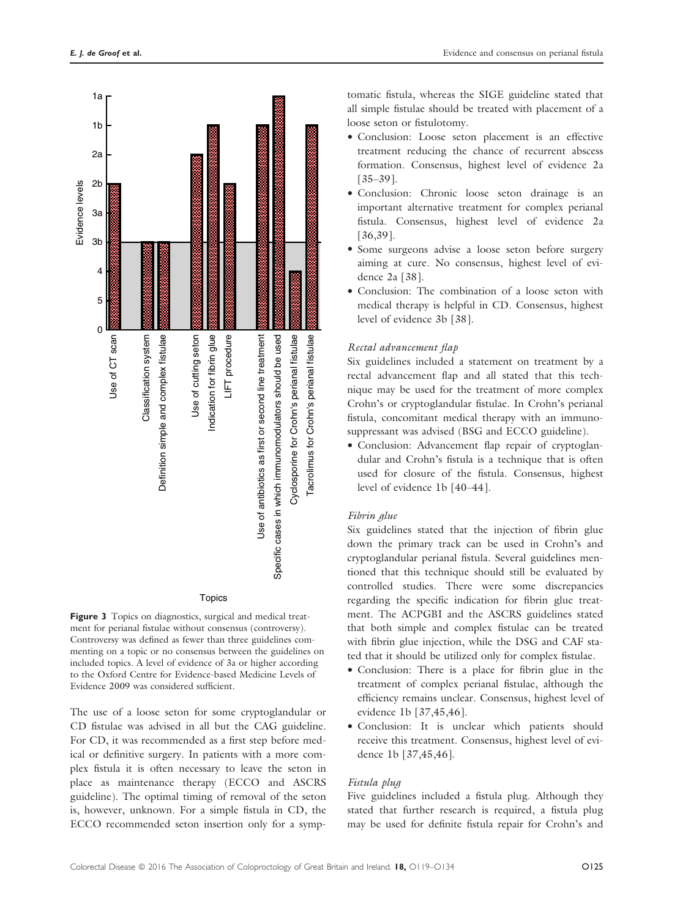

Figure 3 Topics on diagnostics, surgical and medical treatment for perianal fistulae without consensus (controversy). Controversy was defined as fewer than three guidelines commenting on a topic or no consensus between the guidelines on included topics. A level of evidence of 3a or higher according to the Oxford Centre for Evidence-based Medicine Levels of Evidence 2009 was considered sufficient.

The use of a loose seton for some cryptoglandular or CD fistulae was advised in all but the CAG guideline. For CD, it was recommended as a first step before medical or definitive surgery. In patients with a more complex fistula it is often necessary to leave the seton in place as maintenance therapy (ECCO and ASCRS guideline). The optimal timing of removal of the seton is, however, unknown. For a simple fistula in CD, the ECCO recommended seton insertion only for a symptomatic fistula, whereas the SIGE guideline stated that all simple fistulae should be treated with placement of a loose seton or fistulotomy.

- Conclusion: Loose seton placement is an effective treatment reducing the chance of recurrent abscess formation. Consensus, highest level of evidence 2a [35–39].
- Conclusion: Chronic loose seton drainage is an important alternative treatment for complex perianal fistula. Consensus, highest level of evidence 2a [36,39].
- Some surgeons advise a loose seton before surgery aiming at cure. No consensus, highest level of evidence 2a [38].
- Conclusion: The combination of a loose seton with medical therapy is helpful in CD. Consensus, highest level of evidence 3b [38].

## Rectal advancement flap

Six guidelines included a statement on treatment by a rectal advancement flap and all stated that this technique may be used for the treatment of more complex Crohn's or cryptoglandular fistulae. In Crohn's perianal fistula, concomitant medical therapy with an immunosuppressant was advised (BSG and ECCO guideline).

• Conclusion: Advancement flap repair of cryptoglandular and Crohn's fistula is a technique that is often used for closure of the fistula. Consensus, highest level of evidence 1b [40–44].

## Fibrin glue

Six guidelines stated that the injection of fibrin glue down the primary track can be used in Crohn's and cryptoglandular perianal fistula. Several guidelines mentioned that this technique should still be evaluated by controlled studies. There were some discrepancies regarding the specific indication for fibrin glue treatment. The ACPGBI and the ASCRS guidelines stated that both simple and complex fistulae can be treated with fibrin glue injection, while the DSG and CAF stated that it should be utilized only for complex fistulae.

- Conclusion: There is a place for fibrin glue in the treatment of complex perianal fistulae, although the efficiency remains unclear. Consensus, highest level of evidence 1b [37,45,46].
- Conclusion: It is unclear which patients should receive this treatment. Consensus, highest level of evidence 1b [37,45,46].

## Fistula plug

Five guidelines included a fistula plug. Although they stated that further research is required, a fistula plug may be used for definite fistula repair for Crohn's and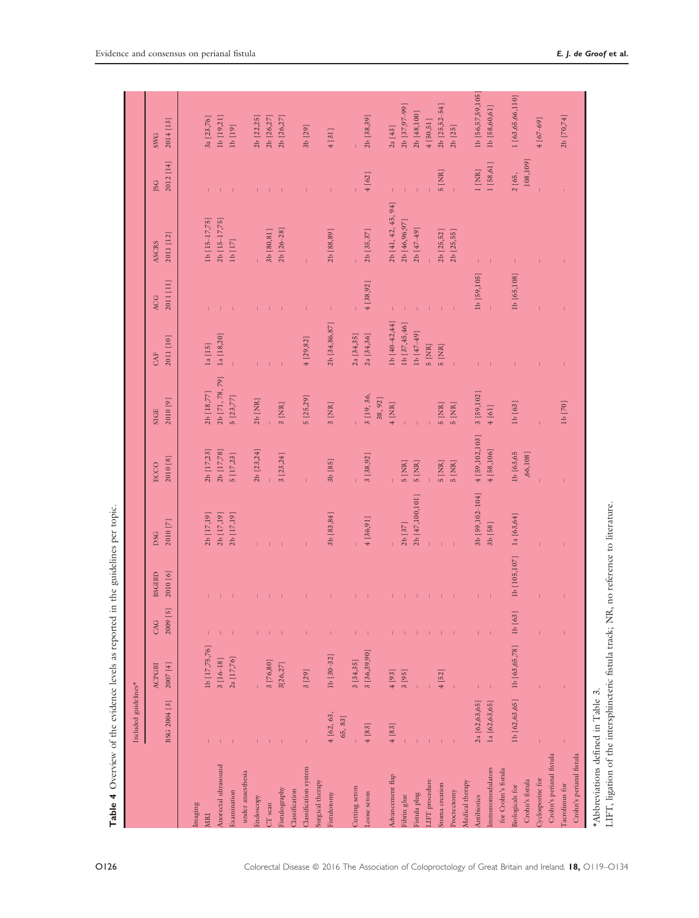| <b>SWG</b><br>$\overline{1}$<br>108,109]<br>2012 [14]<br>$1\,[58,61]$<br>$1$ [NR] $\,$<br>$5$ [NR]<br>$4 [62]$<br>2 [65,<br>JSG<br>$\mathbb{I}$<br>$\overline{\phantom{a}}$<br>T.<br>$\mathbb{I}$<br>$\mathbb{I}$<br>$\mathbb{I}$<br>$\mathbf{I}$<br>T<br>$\mathbf{I}$<br>2b [41, 42, 45, 94]<br>$1b[15-17,75]$<br>2b [15-17,75]<br>2b [46,96,97]<br>2b [47-49]<br>$2b [26-28]$<br>3b [80,81]<br>2b [35, 37]<br>2b [25,52]<br>2b [88,89]<br>2b [25,55]<br>2011 [12]<br>$1b$ $[17]$<br><b>ASCRS</b><br>$\overline{1}$<br>$\overline{1}$<br>$\mathbb{L}$<br>$\mathbf{I}$<br>$\mathbf{I}$<br>Ī<br>1b [59,105]<br>1b [65,108]<br>2011 [11]<br>4 [38, 92]<br><b>ACG</b><br>F.<br>$\mathbb{L}$<br>$\overline{1}$<br>$\mathbb{I}$<br>$\mathbf{I}$<br>$\mathbb{I}$<br>$\mathbf{I}$<br>T<br>$\mathbf{I}$<br>1b [40-42,44]<br>1b [37,45,46]<br>2b [34,86,87]<br>1b [47-49]<br>1a [18,20]<br>2a [34,35]<br>2a [34,36]<br>2011 [10]<br>4[29,82]<br>1a [15]<br>$5$ [NR]<br>$5$ [NR] $\,$<br>CAF<br>$\mathbf{I}$<br>$\mathbf{I}$<br>2b [71, 78, 79]<br>2b [18,77]<br>3 [59,102]<br>3 [19, 36,<br>5 [23,77]<br>5[25,29]<br>2010 [9]<br>$2b$ [NR]<br>38, 92]<br>1b [63]<br>$3$ [NR] $\,$<br>1b [70]<br>$4$ [NR]<br>$3$ [NR]<br>$5$ [NR]<br>$5$ [NR]<br>$4~[61]$<br><b>SIGE</b><br>$\overline{1}$<br>4 [59, 102, 103]<br>4 [58, 106]<br>2b [17,23]<br>2b [17,78]<br>2b [23, 24]<br>1b [63,65<br>,66,108]<br>5[17,23]<br>3[23,24]<br>3 [38, 92]<br>2010 [8]<br>3b [85]<br>$5$ [NR]<br>$5$ [NR]<br>$5$ [NR]<br>$5$ [NR]<br>ECCO<br>$\overline{1}$<br>T<br>3b [59,102-104]<br>2b [47,100,101]<br>2b [17,19]<br>2b [17,19]<br>2b [17,19]<br>3b [83,84]<br>1a [63,64]<br>4[36, 91]<br>2010 [7]<br>2b [37]<br>$3b$ [ $58$ ]<br>DSG<br>$\mathbf{I}$<br>$\overline{1}$<br>T<br>1b [105,107]<br><b>BSGIBD</b><br>2010[6]<br>T.<br>$\mathbb T$<br>$\mathbb T$<br>$\mathbf{I}$<br>$\mathbf{I}$<br>$1 - 1$<br>T.<br>$\mathbb T$<br>$\mathbb T$<br>T.<br>$\mathbf{I}$<br>$\overline{1}$<br>$\mathbb{I}$<br>T.<br>$\sim$ 1<br>$\mathbf{I}$<br>2009 [5]<br>1b [63]<br>CAG<br>$\mathbb T$<br>1b [63,65,78]<br>1b [17,75,76]<br>3 [36,39,90]<br>1b [30-32]<br>2a [17,76]<br>$3$ [16-18]<br>3 [34, 35]<br>3 [76,80]<br>2007 [4]<br>3[26,27]<br><b>ACPGBI</b><br>3[29]<br>4 [93]<br>3 [95]<br>4[52]<br>T<br>1b [62,63,65]<br>BSG 2004 [3]<br>2a [62,63,65]<br>1a [62,63,65]<br>$4$ [62, 63,<br>65, 83]<br>$4 [83]$<br>4 [83]<br>Crohn's perianal fistula<br>Crohn's perianal fistula<br>mmunomodulators<br>for Crohn's fistula<br>under anaesthesia<br>Cyclosporine for<br>Crohn's fistula<br><b>IFT</b> procedure<br>Tacrolimus for<br>Classification<br>Examination<br>Proctectomy<br>Loose seton<br>Antibiotics<br>CT scan<br>Imaging |           | Included guidelines* |  |  |  |  |  |                     |
|------------------------------------------------------------------------------------------------------------------------------------------------------------------------------------------------------------------------------------------------------------------------------------------------------------------------------------------------------------------------------------------------------------------------------------------------------------------------------------------------------------------------------------------------------------------------------------------------------------------------------------------------------------------------------------------------------------------------------------------------------------------------------------------------------------------------------------------------------------------------------------------------------------------------------------------------------------------------------------------------------------------------------------------------------------------------------------------------------------------------------------------------------------------------------------------------------------------------------------------------------------------------------------------------------------------------------------------------------------------------------------------------------------------------------------------------------------------------------------------------------------------------------------------------------------------------------------------------------------------------------------------------------------------------------------------------------------------------------------------------------------------------------------------------------------------------------------------------------------------------------------------------------------------------------------------------------------------------------------------------------------------------------------------------------------------------------------------------------------------------------------------------------------------------------------------------------------------------------------------------------------------------------------------------------------------------------------------------------------------------------------------------------------------------------------------------------------------------------------------------------------------------------------------------------------------------------------------------------------------------------------------------------------------------------------------------------|-----------|----------------------|--|--|--|--|--|---------------------|
|                                                                                                                                                                                                                                                                                                                                                                                                                                                                                                                                                                                                                                                                                                                                                                                                                                                                                                                                                                                                                                                                                                                                                                                                                                                                                                                                                                                                                                                                                                                                                                                                                                                                                                                                                                                                                                                                                                                                                                                                                                                                                                                                                                                                                                                                                                                                                                                                                                                                                                                                                                                                                                                                                                      |           |                      |  |  |  |  |  |                     |
| Anorectal ultrasound<br><b>MRI</b>                                                                                                                                                                                                                                                                                                                                                                                                                                                                                                                                                                                                                                                                                                                                                                                                                                                                                                                                                                                                                                                                                                                                                                                                                                                                                                                                                                                                                                                                                                                                                                                                                                                                                                                                                                                                                                                                                                                                                                                                                                                                                                                                                                                                                                                                                                                                                                                                                                                                                                                                                                                                                                                                   |           |                      |  |  |  |  |  | 2014 [13]           |
|                                                                                                                                                                                                                                                                                                                                                                                                                                                                                                                                                                                                                                                                                                                                                                                                                                                                                                                                                                                                                                                                                                                                                                                                                                                                                                                                                                                                                                                                                                                                                                                                                                                                                                                                                                                                                                                                                                                                                                                                                                                                                                                                                                                                                                                                                                                                                                                                                                                                                                                                                                                                                                                                                                      |           |                      |  |  |  |  |  |                     |
|                                                                                                                                                                                                                                                                                                                                                                                                                                                                                                                                                                                                                                                                                                                                                                                                                                                                                                                                                                                                                                                                                                                                                                                                                                                                                                                                                                                                                                                                                                                                                                                                                                                                                                                                                                                                                                                                                                                                                                                                                                                                                                                                                                                                                                                                                                                                                                                                                                                                                                                                                                                                                                                                                                      |           |                      |  |  |  |  |  | 3a [23,76]          |
|                                                                                                                                                                                                                                                                                                                                                                                                                                                                                                                                                                                                                                                                                                                                                                                                                                                                                                                                                                                                                                                                                                                                                                                                                                                                                                                                                                                                                                                                                                                                                                                                                                                                                                                                                                                                                                                                                                                                                                                                                                                                                                                                                                                                                                                                                                                                                                                                                                                                                                                                                                                                                                                                                                      |           |                      |  |  |  |  |  | 1b [19,21]          |
|                                                                                                                                                                                                                                                                                                                                                                                                                                                                                                                                                                                                                                                                                                                                                                                                                                                                                                                                                                                                                                                                                                                                                                                                                                                                                                                                                                                                                                                                                                                                                                                                                                                                                                                                                                                                                                                                                                                                                                                                                                                                                                                                                                                                                                                                                                                                                                                                                                                                                                                                                                                                                                                                                                      |           |                      |  |  |  |  |  | $1b\,[19]$          |
|                                                                                                                                                                                                                                                                                                                                                                                                                                                                                                                                                                                                                                                                                                                                                                                                                                                                                                                                                                                                                                                                                                                                                                                                                                                                                                                                                                                                                                                                                                                                                                                                                                                                                                                                                                                                                                                                                                                                                                                                                                                                                                                                                                                                                                                                                                                                                                                                                                                                                                                                                                                                                                                                                                      |           |                      |  |  |  |  |  |                     |
| Classification system<br>Advancement flap<br>Medical therapy<br>Surgical therapy<br>Stoma creation<br><b>Biologicals</b> for<br>Cutting seton<br>Fistulography<br>Fistulotomy<br>Fistula plug<br>Fibrin glue                                                                                                                                                                                                                                                                                                                                                                                                                                                                                                                                                                                                                                                                                                                                                                                                                                                                                                                                                                                                                                                                                                                                                                                                                                                                                                                                                                                                                                                                                                                                                                                                                                                                                                                                                                                                                                                                                                                                                                                                                                                                                                                                                                                                                                                                                                                                                                                                                                                                                         | Endoscopy |                      |  |  |  |  |  | 2b [22,25]          |
|                                                                                                                                                                                                                                                                                                                                                                                                                                                                                                                                                                                                                                                                                                                                                                                                                                                                                                                                                                                                                                                                                                                                                                                                                                                                                                                                                                                                                                                                                                                                                                                                                                                                                                                                                                                                                                                                                                                                                                                                                                                                                                                                                                                                                                                                                                                                                                                                                                                                                                                                                                                                                                                                                                      |           |                      |  |  |  |  |  | 2b [26,27]          |
|                                                                                                                                                                                                                                                                                                                                                                                                                                                                                                                                                                                                                                                                                                                                                                                                                                                                                                                                                                                                                                                                                                                                                                                                                                                                                                                                                                                                                                                                                                                                                                                                                                                                                                                                                                                                                                                                                                                                                                                                                                                                                                                                                                                                                                                                                                                                                                                                                                                                                                                                                                                                                                                                                                      |           |                      |  |  |  |  |  | 2b [26,27]          |
|                                                                                                                                                                                                                                                                                                                                                                                                                                                                                                                                                                                                                                                                                                                                                                                                                                                                                                                                                                                                                                                                                                                                                                                                                                                                                                                                                                                                                                                                                                                                                                                                                                                                                                                                                                                                                                                                                                                                                                                                                                                                                                                                                                                                                                                                                                                                                                                                                                                                                                                                                                                                                                                                                                      |           |                      |  |  |  |  |  |                     |
|                                                                                                                                                                                                                                                                                                                                                                                                                                                                                                                                                                                                                                                                                                                                                                                                                                                                                                                                                                                                                                                                                                                                                                                                                                                                                                                                                                                                                                                                                                                                                                                                                                                                                                                                                                                                                                                                                                                                                                                                                                                                                                                                                                                                                                                                                                                                                                                                                                                                                                                                                                                                                                                                                                      |           |                      |  |  |  |  |  | 3b [29]             |
|                                                                                                                                                                                                                                                                                                                                                                                                                                                                                                                                                                                                                                                                                                                                                                                                                                                                                                                                                                                                                                                                                                                                                                                                                                                                                                                                                                                                                                                                                                                                                                                                                                                                                                                                                                                                                                                                                                                                                                                                                                                                                                                                                                                                                                                                                                                                                                                                                                                                                                                                                                                                                                                                                                      |           |                      |  |  |  |  |  |                     |
|                                                                                                                                                                                                                                                                                                                                                                                                                                                                                                                                                                                                                                                                                                                                                                                                                                                                                                                                                                                                                                                                                                                                                                                                                                                                                                                                                                                                                                                                                                                                                                                                                                                                                                                                                                                                                                                                                                                                                                                                                                                                                                                                                                                                                                                                                                                                                                                                                                                                                                                                                                                                                                                                                                      |           |                      |  |  |  |  |  | 4[31]               |
|                                                                                                                                                                                                                                                                                                                                                                                                                                                                                                                                                                                                                                                                                                                                                                                                                                                                                                                                                                                                                                                                                                                                                                                                                                                                                                                                                                                                                                                                                                                                                                                                                                                                                                                                                                                                                                                                                                                                                                                                                                                                                                                                                                                                                                                                                                                                                                                                                                                                                                                                                                                                                                                                                                      |           |                      |  |  |  |  |  |                     |
|                                                                                                                                                                                                                                                                                                                                                                                                                                                                                                                                                                                                                                                                                                                                                                                                                                                                                                                                                                                                                                                                                                                                                                                                                                                                                                                                                                                                                                                                                                                                                                                                                                                                                                                                                                                                                                                                                                                                                                                                                                                                                                                                                                                                                                                                                                                                                                                                                                                                                                                                                                                                                                                                                                      |           |                      |  |  |  |  |  |                     |
|                                                                                                                                                                                                                                                                                                                                                                                                                                                                                                                                                                                                                                                                                                                                                                                                                                                                                                                                                                                                                                                                                                                                                                                                                                                                                                                                                                                                                                                                                                                                                                                                                                                                                                                                                                                                                                                                                                                                                                                                                                                                                                                                                                                                                                                                                                                                                                                                                                                                                                                                                                                                                                                                                                      |           |                      |  |  |  |  |  | 2b [38,39]          |
|                                                                                                                                                                                                                                                                                                                                                                                                                                                                                                                                                                                                                                                                                                                                                                                                                                                                                                                                                                                                                                                                                                                                                                                                                                                                                                                                                                                                                                                                                                                                                                                                                                                                                                                                                                                                                                                                                                                                                                                                                                                                                                                                                                                                                                                                                                                                                                                                                                                                                                                                                                                                                                                                                                      |           |                      |  |  |  |  |  |                     |
|                                                                                                                                                                                                                                                                                                                                                                                                                                                                                                                                                                                                                                                                                                                                                                                                                                                                                                                                                                                                                                                                                                                                                                                                                                                                                                                                                                                                                                                                                                                                                                                                                                                                                                                                                                                                                                                                                                                                                                                                                                                                                                                                                                                                                                                                                                                                                                                                                                                                                                                                                                                                                                                                                                      |           |                      |  |  |  |  |  | 2a [43]             |
|                                                                                                                                                                                                                                                                                                                                                                                                                                                                                                                                                                                                                                                                                                                                                                                                                                                                                                                                                                                                                                                                                                                                                                                                                                                                                                                                                                                                                                                                                                                                                                                                                                                                                                                                                                                                                                                                                                                                                                                                                                                                                                                                                                                                                                                                                                                                                                                                                                                                                                                                                                                                                                                                                                      |           |                      |  |  |  |  |  | 2b [37,97-99]       |
|                                                                                                                                                                                                                                                                                                                                                                                                                                                                                                                                                                                                                                                                                                                                                                                                                                                                                                                                                                                                                                                                                                                                                                                                                                                                                                                                                                                                                                                                                                                                                                                                                                                                                                                                                                                                                                                                                                                                                                                                                                                                                                                                                                                                                                                                                                                                                                                                                                                                                                                                                                                                                                                                                                      |           |                      |  |  |  |  |  | 2b [48,100]         |
|                                                                                                                                                                                                                                                                                                                                                                                                                                                                                                                                                                                                                                                                                                                                                                                                                                                                                                                                                                                                                                                                                                                                                                                                                                                                                                                                                                                                                                                                                                                                                                                                                                                                                                                                                                                                                                                                                                                                                                                                                                                                                                                                                                                                                                                                                                                                                                                                                                                                                                                                                                                                                                                                                                      |           |                      |  |  |  |  |  | 4[50,51]            |
|                                                                                                                                                                                                                                                                                                                                                                                                                                                                                                                                                                                                                                                                                                                                                                                                                                                                                                                                                                                                                                                                                                                                                                                                                                                                                                                                                                                                                                                                                                                                                                                                                                                                                                                                                                                                                                                                                                                                                                                                                                                                                                                                                                                                                                                                                                                                                                                                                                                                                                                                                                                                                                                                                                      |           |                      |  |  |  |  |  | $2b [25,52-54]$     |
|                                                                                                                                                                                                                                                                                                                                                                                                                                                                                                                                                                                                                                                                                                                                                                                                                                                                                                                                                                                                                                                                                                                                                                                                                                                                                                                                                                                                                                                                                                                                                                                                                                                                                                                                                                                                                                                                                                                                                                                                                                                                                                                                                                                                                                                                                                                                                                                                                                                                                                                                                                                                                                                                                                      |           |                      |  |  |  |  |  | 2b[25]              |
|                                                                                                                                                                                                                                                                                                                                                                                                                                                                                                                                                                                                                                                                                                                                                                                                                                                                                                                                                                                                                                                                                                                                                                                                                                                                                                                                                                                                                                                                                                                                                                                                                                                                                                                                                                                                                                                                                                                                                                                                                                                                                                                                                                                                                                                                                                                                                                                                                                                                                                                                                                                                                                                                                                      |           |                      |  |  |  |  |  |                     |
|                                                                                                                                                                                                                                                                                                                                                                                                                                                                                                                                                                                                                                                                                                                                                                                                                                                                                                                                                                                                                                                                                                                                                                                                                                                                                                                                                                                                                                                                                                                                                                                                                                                                                                                                                                                                                                                                                                                                                                                                                                                                                                                                                                                                                                                                                                                                                                                                                                                                                                                                                                                                                                                                                                      |           |                      |  |  |  |  |  | 1b [56,57,59,105]   |
|                                                                                                                                                                                                                                                                                                                                                                                                                                                                                                                                                                                                                                                                                                                                                                                                                                                                                                                                                                                                                                                                                                                                                                                                                                                                                                                                                                                                                                                                                                                                                                                                                                                                                                                                                                                                                                                                                                                                                                                                                                                                                                                                                                                                                                                                                                                                                                                                                                                                                                                                                                                                                                                                                                      |           |                      |  |  |  |  |  | $1b~[58,\!60,\!61]$ |
|                                                                                                                                                                                                                                                                                                                                                                                                                                                                                                                                                                                                                                                                                                                                                                                                                                                                                                                                                                                                                                                                                                                                                                                                                                                                                                                                                                                                                                                                                                                                                                                                                                                                                                                                                                                                                                                                                                                                                                                                                                                                                                                                                                                                                                                                                                                                                                                                                                                                                                                                                                                                                                                                                                      |           |                      |  |  |  |  |  |                     |
|                                                                                                                                                                                                                                                                                                                                                                                                                                                                                                                                                                                                                                                                                                                                                                                                                                                                                                                                                                                                                                                                                                                                                                                                                                                                                                                                                                                                                                                                                                                                                                                                                                                                                                                                                                                                                                                                                                                                                                                                                                                                                                                                                                                                                                                                                                                                                                                                                                                                                                                                                                                                                                                                                                      |           |                      |  |  |  |  |  | 1 [63, 65, 66, 110] |
|                                                                                                                                                                                                                                                                                                                                                                                                                                                                                                                                                                                                                                                                                                                                                                                                                                                                                                                                                                                                                                                                                                                                                                                                                                                                                                                                                                                                                                                                                                                                                                                                                                                                                                                                                                                                                                                                                                                                                                                                                                                                                                                                                                                                                                                                                                                                                                                                                                                                                                                                                                                                                                                                                                      |           |                      |  |  |  |  |  |                     |
|                                                                                                                                                                                                                                                                                                                                                                                                                                                                                                                                                                                                                                                                                                                                                                                                                                                                                                                                                                                                                                                                                                                                                                                                                                                                                                                                                                                                                                                                                                                                                                                                                                                                                                                                                                                                                                                                                                                                                                                                                                                                                                                                                                                                                                                                                                                                                                                                                                                                                                                                                                                                                                                                                                      |           |                      |  |  |  |  |  | $4[67-69]$          |
|                                                                                                                                                                                                                                                                                                                                                                                                                                                                                                                                                                                                                                                                                                                                                                                                                                                                                                                                                                                                                                                                                                                                                                                                                                                                                                                                                                                                                                                                                                                                                                                                                                                                                                                                                                                                                                                                                                                                                                                                                                                                                                                                                                                                                                                                                                                                                                                                                                                                                                                                                                                                                                                                                                      |           |                      |  |  |  |  |  |                     |
|                                                                                                                                                                                                                                                                                                                                                                                                                                                                                                                                                                                                                                                                                                                                                                                                                                                                                                                                                                                                                                                                                                                                                                                                                                                                                                                                                                                                                                                                                                                                                                                                                                                                                                                                                                                                                                                                                                                                                                                                                                                                                                                                                                                                                                                                                                                                                                                                                                                                                                                                                                                                                                                                                                      |           |                      |  |  |  |  |  | 2b [70,74]          |
|                                                                                                                                                                                                                                                                                                                                                                                                                                                                                                                                                                                                                                                                                                                                                                                                                                                                                                                                                                                                                                                                                                                                                                                                                                                                                                                                                                                                                                                                                                                                                                                                                                                                                                                                                                                                                                                                                                                                                                                                                                                                                                                                                                                                                                                                                                                                                                                                                                                                                                                                                                                                                                                                                                      |           |                      |  |  |  |  |  |                     |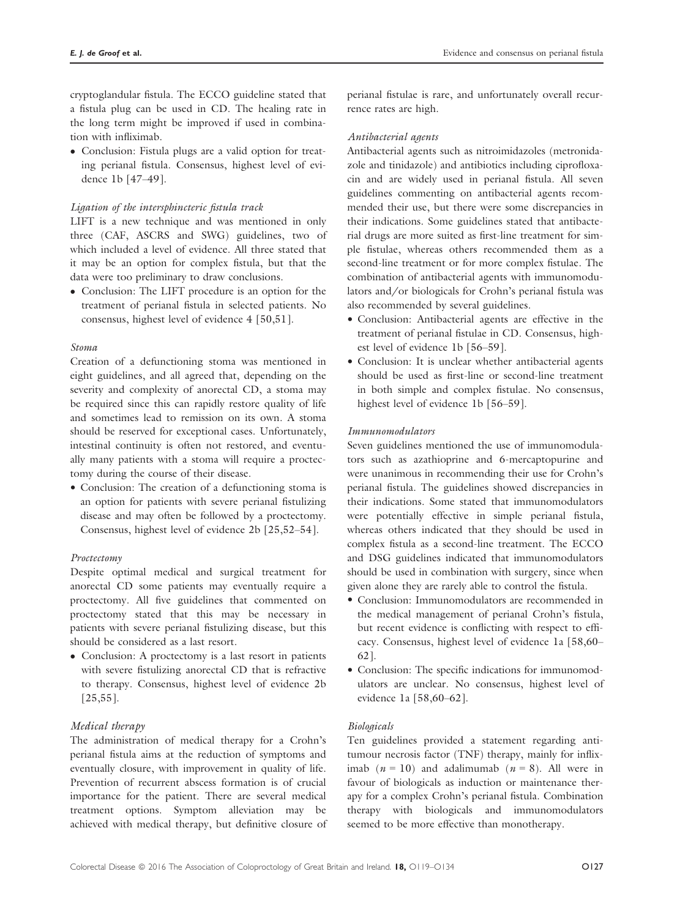cryptoglandular fistula. The ECCO guideline stated that a fistula plug can be used in CD. The healing rate in the long term might be improved if used in combination with infliximab.

 Conclusion: Fistula plugs are a valid option for treating perianal fistula. Consensus, highest level of evidence 1b [47–49].

#### Ligation of the intersphincteric fistula track

LIFT is a new technique and was mentioned in only three (CAF, ASCRS and SWG) guidelines, two of which included a level of evidence. All three stated that it may be an option for complex fistula, but that the data were too preliminary to draw conclusions.

• Conclusion: The LIFT procedure is an option for the treatment of perianal fistula in selected patients. No consensus, highest level of evidence 4 [50,51].

## Stoma

Creation of a defunctioning stoma was mentioned in eight guidelines, and all agreed that, depending on the severity and complexity of anorectal CD, a stoma may be required since this can rapidly restore quality of life and sometimes lead to remission on its own. A stoma should be reserved for exceptional cases. Unfortunately, intestinal continuity is often not restored, and eventually many patients with a stoma will require a proctectomy during the course of their disease.

• Conclusion: The creation of a defunctioning stoma is an option for patients with severe perianal fistulizing disease and may often be followed by a proctectomy. Consensus, highest level of evidence 2b [25,52–54].

#### Proctectomy

Despite optimal medical and surgical treatment for anorectal CD some patients may eventually require a proctectomy. All five guidelines that commented on proctectomy stated that this may be necessary in patients with severe perianal fistulizing disease, but this should be considered as a last resort.

• Conclusion: A proctectomy is a last resort in patients with severe fistulizing anorectal CD that is refractive to therapy. Consensus, highest level of evidence 2b [25,55].

# Medical therapy

The administration of medical therapy for a Crohn's perianal fistula aims at the reduction of symptoms and eventually closure, with improvement in quality of life. Prevention of recurrent abscess formation is of crucial importance for the patient. There are several medical treatment options. Symptom alleviation may be achieved with medical therapy, but definitive closure of perianal fistulae is rare, and unfortunately overall recurrence rates are high.

### Antibacterial agents

Antibacterial agents such as nitroimidazoles (metronidazole and tinidazole) and antibiotics including ciprofloxacin and are widely used in perianal fistula. All seven guidelines commenting on antibacterial agents recommended their use, but there were some discrepancies in their indications. Some guidelines stated that antibacterial drugs are more suited as first-line treatment for simple fistulae, whereas others recommended them as a second-line treatment or for more complex fistulae. The combination of antibacterial agents with immunomodulators and/or biologicals for Crohn's perianal fistula was also recommended by several guidelines.

- Conclusion: Antibacterial agents are effective in the treatment of perianal fistulae in CD. Consensus, highest level of evidence 1b [56–59].
- Conclusion: It is unclear whether antibacterial agents should be used as first-line or second-line treatment in both simple and complex fistulae. No consensus, highest level of evidence 1b [56–59].

#### Immunomodulators

Seven guidelines mentioned the use of immunomodulators such as azathioprine and 6-mercaptopurine and were unanimous in recommending their use for Crohn's perianal fistula. The guidelines showed discrepancies in their indications. Some stated that immunomodulators were potentially effective in simple perianal fistula, whereas others indicated that they should be used in complex fistula as a second-line treatment. The ECCO and DSG guidelines indicated that immunomodulators should be used in combination with surgery, since when given alone they are rarely able to control the fistula.

- Conclusion: Immunomodulators are recommended in the medical management of perianal Crohn's fistula, but recent evidence is conflicting with respect to efficacy. Consensus, highest level of evidence 1a [58,60– 62].
- Conclusion: The specific indications for immunomodulators are unclear. No consensus, highest level of evidence 1a [58,60–62].

#### Biologicals

Ten guidelines provided a statement regarding antitumour necrosis factor (TNF) therapy, mainly for infliximab ( $n = 10$ ) and adalimumab ( $n = 8$ ). All were in favour of biologicals as induction or maintenance therapy for a complex Crohn's perianal fistula. Combination therapy with biologicals and immunomodulators seemed to be more effective than monotherapy.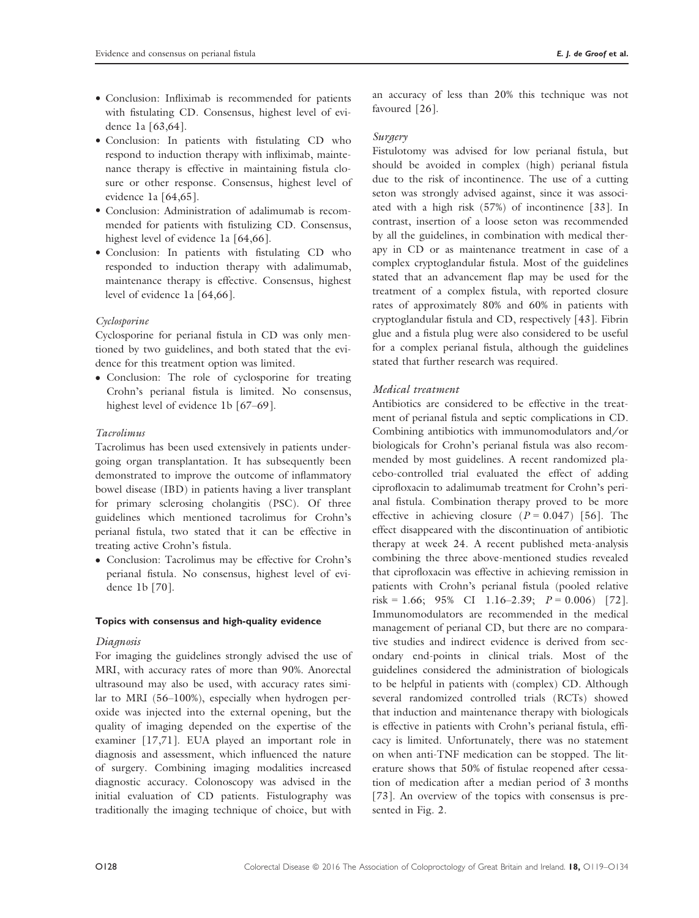- Conclusion: Infliximab is recommended for patients with fistulating CD. Consensus, highest level of evidence 1a [63,64].
- Conclusion: In patients with fistulating CD who respond to induction therapy with infliximab, maintenance therapy is effective in maintaining fistula closure or other response. Consensus, highest level of evidence 1a [64,65].
- Conclusion: Administration of adalimumab is recommended for patients with fistulizing CD. Consensus, highest level of evidence 1a [64,66].
- Conclusion: In patients with fistulating CD who responded to induction therapy with adalimumab, maintenance therapy is effective. Consensus, highest level of evidence 1a [64,66].

#### Cyclosporine

Cyclosporine for perianal fistula in CD was only mentioned by two guidelines, and both stated that the evidence for this treatment option was limited.

• Conclusion: The role of cyclosporine for treating Crohn's perianal fistula is limited. No consensus, highest level of evidence 1b [67–69].

#### Tacrolimus

Tacrolimus has been used extensively in patients undergoing organ transplantation. It has subsequently been demonstrated to improve the outcome of inflammatory bowel disease (IBD) in patients having a liver transplant for primary sclerosing cholangitis (PSC). Of three guidelines which mentioned tacrolimus for Crohn's perianal fistula, two stated that it can be effective in treating active Crohn's fistula.

 Conclusion: Tacrolimus may be effective for Crohn's perianal fistula. No consensus, highest level of evidence 1b [70].

#### Topics with consensus and high-quality evidence

## Diagnosis

For imaging the guidelines strongly advised the use of MRI, with accuracy rates of more than 90%. Anorectal ultrasound may also be used, with accuracy rates similar to MRI (56–100%), especially when hydrogen peroxide was injected into the external opening, but the quality of imaging depended on the expertise of the examiner [17,71]. EUA played an important role in diagnosis and assessment, which influenced the nature of surgery. Combining imaging modalities increased diagnostic accuracy. Colonoscopy was advised in the initial evaluation of CD patients. Fistulography was traditionally the imaging technique of choice, but with

an accuracy of less than 20% this technique was not favoured [26].

## Surgery

Fistulotomy was advised for low perianal fistula, but should be avoided in complex (high) perianal fistula due to the risk of incontinence. The use of a cutting seton was strongly advised against, since it was associated with a high risk (57%) of incontinence [33]. In contrast, insertion of a loose seton was recommended by all the guidelines, in combination with medical therapy in CD or as maintenance treatment in case of a complex cryptoglandular fistula. Most of the guidelines stated that an advancement flap may be used for the treatment of a complex fistula, with reported closure rates of approximately 80% and 60% in patients with cryptoglandular fistula and CD, respectively [43]. Fibrin glue and a fistula plug were also considered to be useful for a complex perianal fistula, although the guidelines stated that further research was required.

## Medical treatment

Antibiotics are considered to be effective in the treatment of perianal fistula and septic complications in CD. Combining antibiotics with immunomodulators and/or biologicals for Crohn's perianal fistula was also recommended by most guidelines. A recent randomized placebo-controlled trial evaluated the effect of adding ciprofloxacin to adalimumab treatment for Crohn's perianal fistula. Combination therapy proved to be more effective in achieving closure  $(P = 0.047)$  [56]. The effect disappeared with the discontinuation of antibiotic therapy at week 24. A recent published meta-analysis combining the three above-mentioned studies revealed that ciprofloxacin was effective in achieving remission in patients with Crohn's perianal fistula (pooled relative risk = 1.66; 95% CI 1.16–2.39;  $P = 0.006$  [72]. Immunomodulators are recommended in the medical management of perianal CD, but there are no comparative studies and indirect evidence is derived from secondary end-points in clinical trials. Most of the guidelines considered the administration of biologicals to be helpful in patients with (complex) CD. Although several randomized controlled trials (RCTs) showed that induction and maintenance therapy with biologicals is effective in patients with Crohn's perianal fistula, efficacy is limited. Unfortunately, there was no statement on when anti-TNF medication can be stopped. The literature shows that 50% of fistulae reopened after cessation of medication after a median period of 3 months [73]. An overview of the topics with consensus is presented in Fig. 2.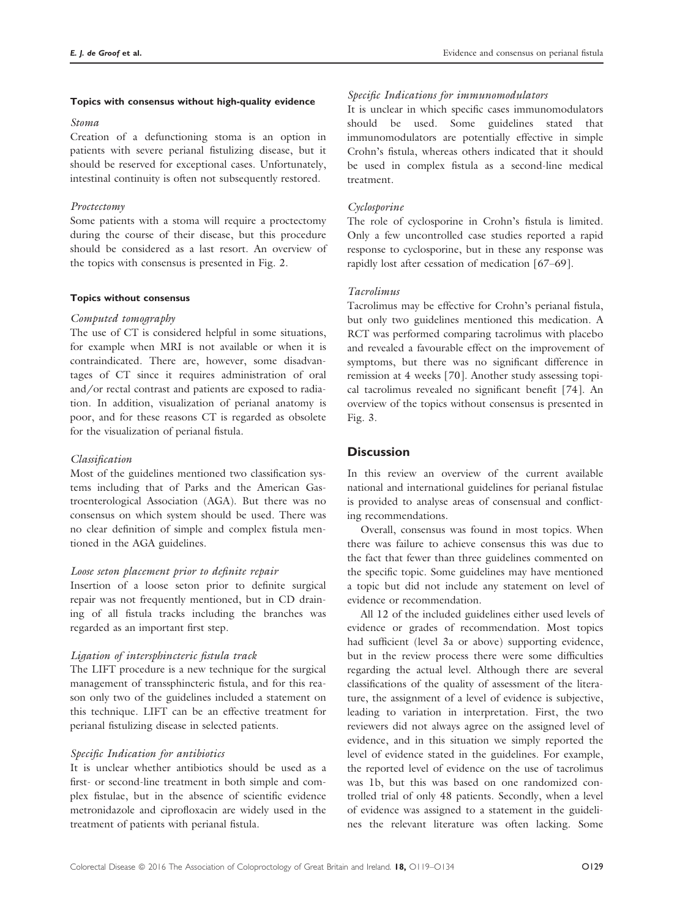## Topics with consensus without high-quality evidence

## Stoma

Creation of a defunctioning stoma is an option in patients with severe perianal fistulizing disease, but it should be reserved for exceptional cases. Unfortunately, intestinal continuity is often not subsequently restored.

## Proctectomy

Some patients with a stoma will require a proctectomy during the course of their disease, but this procedure should be considered as a last resort. An overview of the topics with consensus is presented in Fig. 2.

## Topics without consensus

## Computed tomography

The use of CT is considered helpful in some situations, for example when MRI is not available or when it is contraindicated. There are, however, some disadvantages of CT since it requires administration of oral and/or rectal contrast and patients are exposed to radiation. In addition, visualization of perianal anatomy is poor, and for these reasons CT is regarded as obsolete for the visualization of perianal fistula.

## Classification

Most of the guidelines mentioned two classification systems including that of Parks and the American Gastroenterological Association (AGA). But there was no consensus on which system should be used. There was no clear definition of simple and complex fistula mentioned in the AGA guidelines.

#### Loose seton placement prior to definite repair

Insertion of a loose seton prior to definite surgical repair was not frequently mentioned, but in CD draining of all fistula tracks including the branches was regarded as an important first step.

# Ligation of intersphincteric fistula track

The LIFT procedure is a new technique for the surgical management of transsphincteric fistula, and for this reason only two of the guidelines included a statement on this technique. LIFT can be an effective treatment for perianal fistulizing disease in selected patients.

## Specific Indication for antibiotics

It is unclear whether antibiotics should be used as a first- or second-line treatment in both simple and complex fistulae, but in the absence of scientific evidence metronidazole and ciprofloxacin are widely used in the treatment of patients with perianal fistula.

## Specific Indications for immunomodulators

It is unclear in which specific cases immunomodulators should be used. Some guidelines stated that immunomodulators are potentially effective in simple Crohn's fistula, whereas others indicated that it should be used in complex fistula as a second-line medical treatment.

## Cyclosporine

The role of cyclosporine in Crohn's fistula is limited. Only a few uncontrolled case studies reported a rapid response to cyclosporine, but in these any response was rapidly lost after cessation of medication [67–69].

# Tacrolimus

Tacrolimus may be effective for Crohn's perianal fistula, but only two guidelines mentioned this medication. A RCT was performed comparing tacrolimus with placebo and revealed a favourable effect on the improvement of symptoms, but there was no significant difference in remission at 4 weeks [70]. Another study assessing topical tacrolimus revealed no significant benefit [74]. An overview of the topics without consensus is presented in Fig. 3.

# **Discussion**

In this review an overview of the current available national and international guidelines for perianal fistulae is provided to analyse areas of consensual and conflicting recommendations.

Overall, consensus was found in most topics. When there was failure to achieve consensus this was due to the fact that fewer than three guidelines commented on the specific topic. Some guidelines may have mentioned a topic but did not include any statement on level of evidence or recommendation.

All 12 of the included guidelines either used levels of evidence or grades of recommendation. Most topics had sufficient (level 3a or above) supporting evidence, but in the review process there were some difficulties regarding the actual level. Although there are several classifications of the quality of assessment of the literature, the assignment of a level of evidence is subjective, leading to variation in interpretation. First, the two reviewers did not always agree on the assigned level of evidence, and in this situation we simply reported the level of evidence stated in the guidelines. For example, the reported level of evidence on the use of tacrolimus was 1b, but this was based on one randomized controlled trial of only 48 patients. Secondly, when a level of evidence was assigned to a statement in the guidelines the relevant literature was often lacking. Some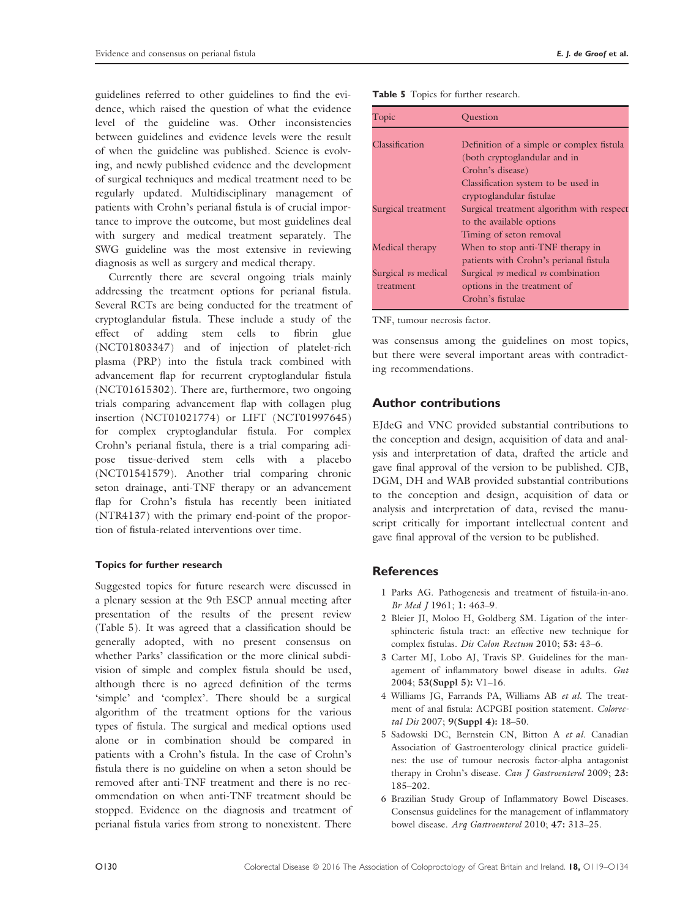guidelines referred to other guidelines to find the evidence, which raised the question of what the evidence level of the guideline was. Other inconsistencies between guidelines and evidence levels were the result of when the guideline was published. Science is evolving, and newly published evidence and the development of surgical techniques and medical treatment need to be regularly updated. Multidisciplinary management of patients with Crohn's perianal fistula is of crucial importance to improve the outcome, but most guidelines deal with surgery and medical treatment separately. The SWG guideline was the most extensive in reviewing diagnosis as well as surgery and medical therapy.

Currently there are several ongoing trials mainly addressing the treatment options for perianal fistula. Several RCTs are being conducted for the treatment of cryptoglandular fistula. These include a study of the effect of adding stem cells to fibrin glue (NCT01803347) and of injection of platelet-rich plasma (PRP) into the fistula track combined with advancement flap for recurrent cryptoglandular fistula (NCT01615302). There are, furthermore, two ongoing trials comparing advancement flap with collagen plug insertion (NCT01021774) or LIFT (NCT01997645) for complex cryptoglandular fistula. For complex Crohn's perianal fistula, there is a trial comparing adipose tissue-derived stem cells with a placebo (NCT01541579). Another trial comparing chronic seton drainage, anti-TNF therapy or an advancement flap for Crohn's fistula has recently been initiated (NTR4137) with the primary end-point of the proportion of fistula-related interventions over time.

## Topics for further research

Suggested topics for future research were discussed in a plenary session at the 9th ESCP annual meeting after presentation of the results of the present review (Table 5). It was agreed that a classification should be generally adopted, with no present consensus on whether Parks' classification or the more clinical subdivision of simple and complex fistula should be used, although there is no agreed definition of the terms 'simple' and 'complex'. There should be a surgical algorithm of the treatment options for the various types of fistula. The surgical and medical options used alone or in combination should be compared in patients with a Crohn's fistula. In the case of Crohn's fistula there is no guideline on when a seton should be removed after anti-TNF treatment and there is no recommendation on when anti-TNF treatment should be stopped. Evidence on the diagnosis and treatment of perianal fistula varies from strong to nonexistent. There

Table 5 Topics for further research.

| Topic                      | Ouestion                                         |
|----------------------------|--------------------------------------------------|
|                            |                                                  |
| Classification             | Definition of a simple or complex fistula        |
|                            | (both cryptoglandular and in                     |
|                            | Crohn's disease)                                 |
|                            | Classification system to be used in              |
|                            | cryptoglandular fistulae                         |
| Surgical treatment         | Surgical treatment algorithm with respect        |
|                            | to the available options                         |
|                            | Timing of seton removal                          |
| Medical therapy            | When to stop anti-TNF therapy in                 |
|                            | patients with Crohn's perianal fistula           |
| Surgical <i>vs</i> medical | Surgical <i>vs</i> medical <i>vs</i> combination |
| treatment                  | options in the treatment of                      |
|                            | Crohn's fistulae                                 |

TNF, tumour necrosis factor.

was consensus among the guidelines on most topics, but there were several important areas with contradicting recommendations.

# Author contributions

EJdeG and VNC provided substantial contributions to the conception and design, acquisition of data and analysis and interpretation of data, drafted the article and gave final approval of the version to be published. CJB, DGM, DH and WAB provided substantial contributions to the conception and design, acquisition of data or analysis and interpretation of data, revised the manuscript critically for important intellectual content and gave final approval of the version to be published.

# **References**

- 1 Parks AG. Pathogenesis and treatment of fistuila-in-ano. Br Med J 1961; 1: 463–9.
- 2 Bleier JI, Moloo H, Goldberg SM. Ligation of the intersphincteric fistula tract: an effective new technique for complex fistulas. Dis Colon Rectum 2010; 53: 43–6.
- 3 Carter MJ, Lobo AJ, Travis SP. Guidelines for the management of inflammatory bowel disease in adults. Gut 2004; 53(Suppl 5): V1–16.
- 4 Williams JG, Farrands PA, Williams AB et al. The treatment of anal fistula: ACPGBI position statement. Colorectal Dis 2007; 9(Suppl 4): 18–50.
- 5 Sadowski DC, Bernstein CN, Bitton A et al. Canadian Association of Gastroenterology clinical practice guidelines: the use of tumour necrosis factor-alpha antagonist therapy in Crohn's disease. Can J Gastroenterol 2009; 23: 185–202.
- 6 Brazilian Study Group of Inflammatory Bowel Diseases. Consensus guidelines for the management of inflammatory bowel disease. Arq Gastroenterol 2010; 47: 313–25.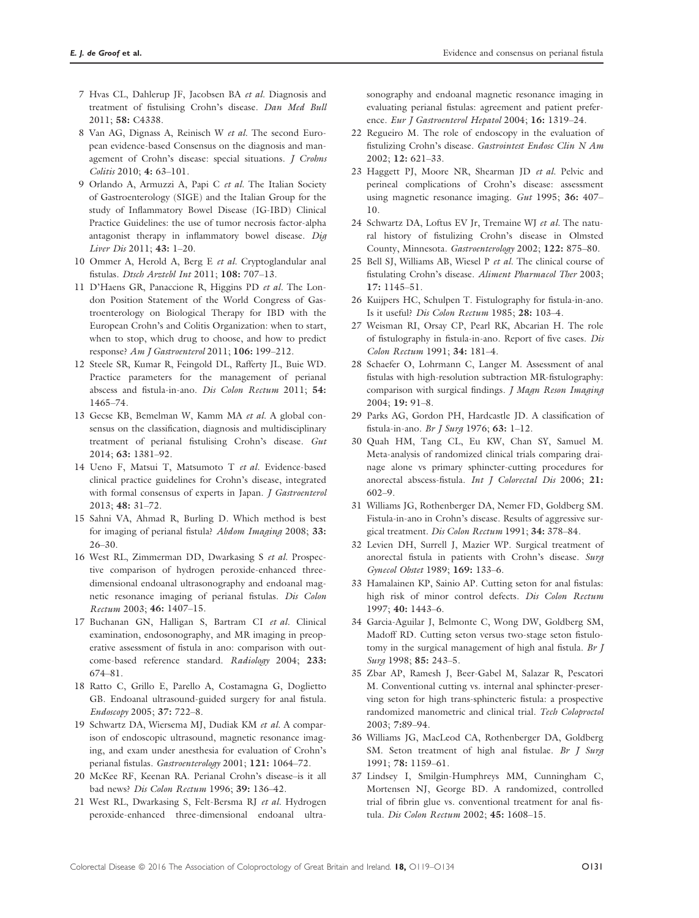- 7 Hvas CL, Dahlerup JF, Jacobsen BA et al. Diagnosis and treatment of fistulising Crohn's disease. Dan Med Bull 2011; 58: C4338.
- 8 Van AG, Dignass A, Reinisch W et al. The second European evidence-based Consensus on the diagnosis and management of Crohn's disease: special situations. *J Crohns* Colitis 2010; 4: 63–101.
- 9 Orlando A, Armuzzi A, Papi C et al. The Italian Society of Gastroenterology (SIGE) and the Italian Group for the study of Inflammatory Bowel Disease (IG-IBD) Clinical Practice Guidelines: the use of tumor necrosis factor-alpha antagonist therapy in inflammatory bowel disease. Dig Liver Dis 2011; 43: 1–20.
- 10 Ommer A, Herold A, Berg E et al. Cryptoglandular anal fistulas. Dtsch Arztebl Int 2011; 108: 707–13.
- 11 D'Haens GR, Panaccione R, Higgins PD et al. The London Position Statement of the World Congress of Gastroenterology on Biological Therapy for IBD with the European Crohn's and Colitis Organization: when to start, when to stop, which drug to choose, and how to predict response? Am J Gastroenterol 2011; 106: 199–212.
- 12 Steele SR, Kumar R, Feingold DL, Rafferty JL, Buie WD. Practice parameters for the management of perianal abscess and fistula-in-ano. Dis Colon Rectum 2011; 54: 1465–74.
- 13 Gecse KB, Bemelman W, Kamm MA et al. A global consensus on the classification, diagnosis and multidisciplinary treatment of perianal fistulising Crohn's disease. Gut 2014; 63: 1381–92.
- 14 Ueno F, Matsui T, Matsumoto T et al. Evidence-based clinical practice guidelines for Crohn's disease, integrated with formal consensus of experts in Japan. *J Gastroenterol* 2013; 48: 31–72.
- 15 Sahni VA, Ahmad R, Burling D. Which method is best for imaging of perianal fistula? Abdom Imaging 2008; 33: 26–30.
- 16 West RL, Zimmerman DD, Dwarkasing S et al. Prospective comparison of hydrogen peroxide-enhanced threedimensional endoanal ultrasonography and endoanal magnetic resonance imaging of perianal fistulas. Dis Colon Rectum 2003; 46: 1407–15.
- 17 Buchanan GN, Halligan S, Bartram CI et al. Clinical examination, endosonography, and MR imaging in preoperative assessment of fistula in ano: comparison with outcome-based reference standard. Radiology 2004; 233: 674–81.
- 18 Ratto C, Grillo E, Parello A, Costamagna G, Doglietto GB. Endoanal ultrasound-guided surgery for anal fistula. Endoscopy 2005; 37: 722–8.
- 19 Schwartz DA, Wiersema MJ, Dudiak KM et al. A comparison of endoscopic ultrasound, magnetic resonance imaging, and exam under anesthesia for evaluation of Crohn's perianal fistulas. Gastroenterology 2001; 121: 1064–72.
- 20 McKee RF, Keenan RA. Perianal Crohn's disease–is it all bad news? Dis Colon Rectum 1996; 39: 136–42.
- 21 West RL, Dwarkasing S, Felt-Bersma RJ et al. Hydrogen peroxide-enhanced three-dimensional endoanal ultra-

sonography and endoanal magnetic resonance imaging in evaluating perianal fistulas: agreement and patient preference. Eur J Gastroenterol Hepatol 2004; 16: 1319-24.

- 22 Regueiro M. The role of endoscopy in the evaluation of fistulizing Crohn's disease. Gastrointest Endosc Clin N Am 2002; 12: 621–33.
- 23 Haggett PJ, Moore NR, Shearman JD et al. Pelvic and perineal complications of Crohn's disease: assessment using magnetic resonance imaging. Gut 1995; 36: 407– 10.
- 24 Schwartz DA, Loftus EV Jr, Tremaine WJ et al. The natural history of fistulizing Crohn's disease in Olmsted County, Minnesota. Gastroenterology 2002; 122: 875–80.
- 25 Bell SJ, Williams AB, Wiesel P et al. The clinical course of fistulating Crohn's disease. Aliment Pharmacol Ther 2003; 17: 1145–51.
- 26 Kuijpers HC, Schulpen T. Fistulography for fistula-in-ano. Is it useful? Dis Colon Rectum 1985; 28: 103–4.
- 27 Weisman RI, Orsay CP, Pearl RK, Abcarian H. The role of fistulography in fistula-in-ano. Report of five cases. Dis Colon Rectum 1991; 34: 181–4.
- 28 Schaefer O, Lohrmann C, Langer M. Assessment of anal fistulas with high-resolution subtraction MR-fistulography: comparison with surgical findings. J Magn Reson Imaging 2004; 19: 91–8.
- 29 Parks AG, Gordon PH, Hardcastle JD. A classification of fistula-in-ano. Br J Surg 1976; 63: 1–12.
- 30 Quah HM, Tang CL, Eu KW, Chan SY, Samuel M. Meta-analysis of randomized clinical trials comparing drainage alone vs primary sphincter-cutting procedures for anorectal abscess-fistula. Int J Colorectal Dis 2006; 21: 602–9.
- 31 Williams JG, Rothenberger DA, Nemer FD, Goldberg SM. Fistula-in-ano in Crohn's disease. Results of aggressive surgical treatment. Dis Colon Rectum 1991; 34: 378–84.
- 32 Levien DH, Surrell J, Mazier WP. Surgical treatment of anorectal fistula in patients with Crohn's disease. Surg Gynecol Obstet 1989; 169: 133–6.
- 33 Hamalainen KP, Sainio AP. Cutting seton for anal fistulas: high risk of minor control defects. Dis Colon Rectum 1997; 40: 1443–6.
- 34 Garcia-Aguilar J, Belmonte C, Wong DW, Goldberg SM, Madoff RD. Cutting seton versus two-stage seton fistulotomy in the surgical management of high anal fistula. Br J Surg 1998; 85: 243-5.
- 35 Zbar AP, Ramesh J, Beer-Gabel M, Salazar R, Pescatori M. Conventional cutting vs. internal anal sphincter-preserving seton for high trans-sphincteric fistula: a prospective randomized manometric and clinical trial. Tech Coloproctol 2003; 7:89–94.
- 36 Williams JG, MacLeod CA, Rothenberger DA, Goldberg SM. Seton treatment of high anal fistulae. Br J Surg 1991; 78: 1159–61.
- 37 Lindsey I, Smilgin-Humphreys MM, Cunningham C, Mortensen NJ, George BD. A randomized, controlled trial of fibrin glue vs. conventional treatment for anal fistula. Dis Colon Rectum 2002; 45: 1608–15.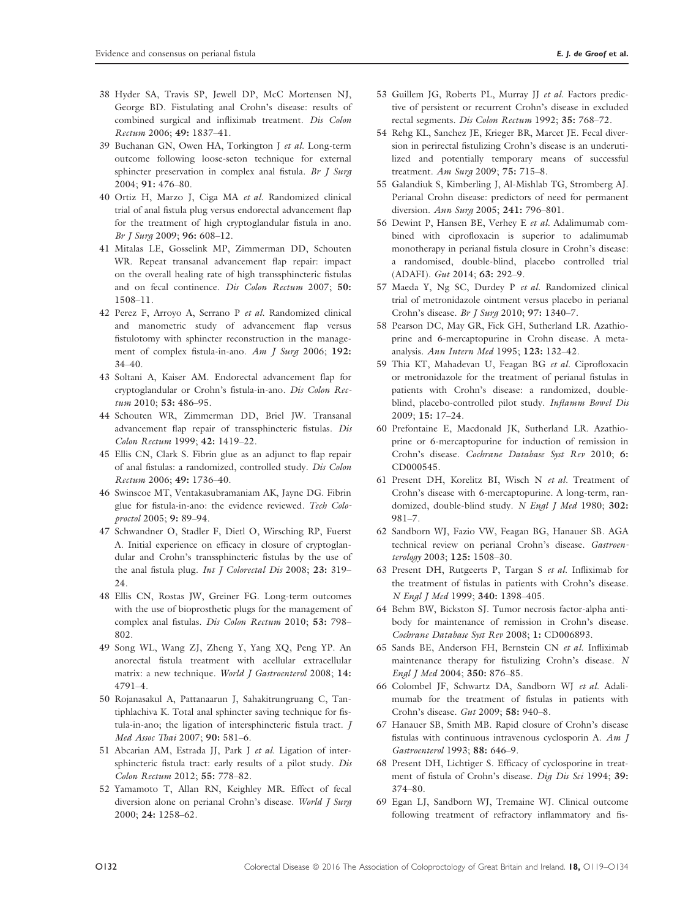- 38 Hyder SA, Travis SP, Jewell DP, McC Mortensen NJ, George BD. Fistulating anal Crohn's disease: results of combined surgical and infliximab treatment. Dis Colon Rectum 2006; 49: 1837–41.
- 39 Buchanan GN, Owen HA, Torkington J et al. Long-term outcome following loose-seton technique for external sphincter preservation in complex anal fistula. Br J Surg 2004; 91: 476–80.
- 40 Ortiz H, Marzo J, Ciga MA et al. Randomized clinical trial of anal fistula plug versus endorectal advancement flap for the treatment of high cryptoglandular fistula in ano. Br J Surg 2009; 96: 608–12.
- 41 Mitalas LE, Gosselink MP, Zimmerman DD, Schouten WR. Repeat transanal advancement flap repair: impact on the overall healing rate of high transsphincteric fistulas and on fecal continence. Dis Colon Rectum 2007; 50: 1508–11.
- 42 Perez F, Arroyo A, Serrano P et al. Randomized clinical and manometric study of advancement flap versus fistulotomy with sphincter reconstruction in the management of complex fistula-in-ano. Am J Surg 2006; 192: 34–40.
- 43 Soltani A, Kaiser AM. Endorectal advancement flap for cryptoglandular or Crohn's fistula-in-ano. Dis Colon Rectum 2010; 53: 486-95.
- 44 Schouten WR, Zimmerman DD, Briel JW. Transanal advancement flap repair of transsphincteric fistulas. Dis Colon Rectum 1999; 42: 1419–22.
- 45 Ellis CN, Clark S. Fibrin glue as an adjunct to flap repair of anal fistulas: a randomized, controlled study. Dis Colon Rectum 2006; 49: 1736–40.
- 46 Swinscoe MT, Ventakasubramaniam AK, Jayne DG. Fibrin glue for fistula-in-ano: the evidence reviewed. Tech Coloproctol 2005; 9: 89–94.
- 47 Schwandner O, Stadler F, Dietl O, Wirsching RP, Fuerst A. Initial experience on efficacy in closure of cryptoglandular and Crohn's transsphincteric fistulas by the use of the anal fistula plug. Int J Colorectal Dis 2008; 23: 319-24.
- 48 Ellis CN, Rostas JW, Greiner FG. Long-term outcomes with the use of bioprosthetic plugs for the management of complex anal fistulas. Dis Colon Rectum 2010; 53: 798– 802.
- 49 Song WL, Wang ZJ, Zheng Y, Yang XQ, Peng YP. An anorectal fistula treatment with acellular extracellular matrix: a new technique. World J Gastroenterol 2008; 14: 4791–4.
- 50 Rojanasakul A, Pattanaarun J, Sahakitrungruang C, Tantiphlachiva K. Total anal sphincter saving technique for fistula-in-ano; the ligation of intersphincteric fistula tract. J Med Assoc Thai 2007; 90: 581–6.
- 51 Abcarian AM, Estrada JJ, Park J et al. Ligation of intersphincteric fistula tract: early results of a pilot study. Dis Colon Rectum 2012; 55: 778–82.
- 52 Yamamoto T, Allan RN, Keighley MR. Effect of fecal diversion alone on perianal Crohn's disease. World J Surg 2000; 24: 1258–62.
- 53 Guillem JG, Roberts PL, Murray JJ et al. Factors predictive of persistent or recurrent Crohn's disease in excluded rectal segments. Dis Colon Rectum 1992; 35: 768–72.
- 54 Rehg KL, Sanchez JE, Krieger BR, Marcet JE. Fecal diversion in perirectal fistulizing Crohn's disease is an underutilized and potentially temporary means of successful treatment. Am Surg 2009; 75: 715–8.
- 55 Galandiuk S, Kimberling J, Al-Mishlab TG, Stromberg AJ. Perianal Crohn disease: predictors of need for permanent diversion. Ann Surg 2005; 241: 796–801.
- 56 Dewint P, Hansen BE, Verhey E et al. Adalimumab combined with ciprofloxacin is superior to adalimumab monotherapy in perianal fistula closure in Crohn's disease: a randomised, double-blind, placebo controlled trial (ADAFI). Gut 2014; 63: 292–9.
- 57 Maeda Y, Ng SC, Durdey P et al. Randomized clinical trial of metronidazole ointment versus placebo in perianal Crohn's disease. Br J Surg 2010; 97: 1340–7.
- 58 Pearson DC, May GR, Fick GH, Sutherland LR. Azathioprine and 6-mercaptopurine in Crohn disease. A metaanalysis. Ann Intern Med 1995; 123: 132–42.
- 59 Thia KT, Mahadevan U, Feagan BG et al. Ciprofloxacin or metronidazole for the treatment of perianal fistulas in patients with Crohn's disease: a randomized, doubleblind, placebo-controlled pilot study. Inflamm Bowel Dis 2009; 15: 17–24.
- 60 Prefontaine E, Macdonald JK, Sutherland LR. Azathioprine or 6-mercaptopurine for induction of remission in Crohn's disease. Cochrane Database Syst Rev 2010; 6: CD000545.
- 61 Present DH, Korelitz BI, Wisch N et al. Treatment of Crohn's disease with 6-mercaptopurine. A long-term, randomized, double-blind study. N Engl J Med 1980; 302: 981–7.
- 62 Sandborn WJ, Fazio VW, Feagan BG, Hanauer SB. AGA technical review on perianal Crohn's disease. Gastroenterology 2003; 125: 1508–30.
- 63 Present DH, Rutgeerts P, Targan S et al. Infliximab for the treatment of fistulas in patients with Crohn's disease. N Engl J Med 1999; 340: 1398–405.
- 64 Behm BW, Bickston SJ. Tumor necrosis factor-alpha antibody for maintenance of remission in Crohn's disease. Cochrane Database Syst Rev 2008; 1: CD006893.
- 65 Sands BE, Anderson FH, Bernstein CN et al. Infliximab maintenance therapy for fistulizing Crohn's disease. N Engl J Med 2004; 350: 876–85.
- 66 Colombel JF, Schwartz DA, Sandborn WJ et al. Adalimumab for the treatment of fistulas in patients with Crohn's disease. Gut 2009; 58: 940–8.
- 67 Hanauer SB, Smith MB. Rapid closure of Crohn's disease fistulas with continuous intravenous cyclosporin A. Am J Gastroenterol 1993; 88: 646–9.
- 68 Present DH, Lichtiger S. Efficacy of cyclosporine in treatment of fistula of Crohn's disease. Dig Dis Sci 1994; 39: 374–80.
- 69 Egan LJ, Sandborn WJ, Tremaine WJ. Clinical outcome following treatment of refractory inflammatory and fis-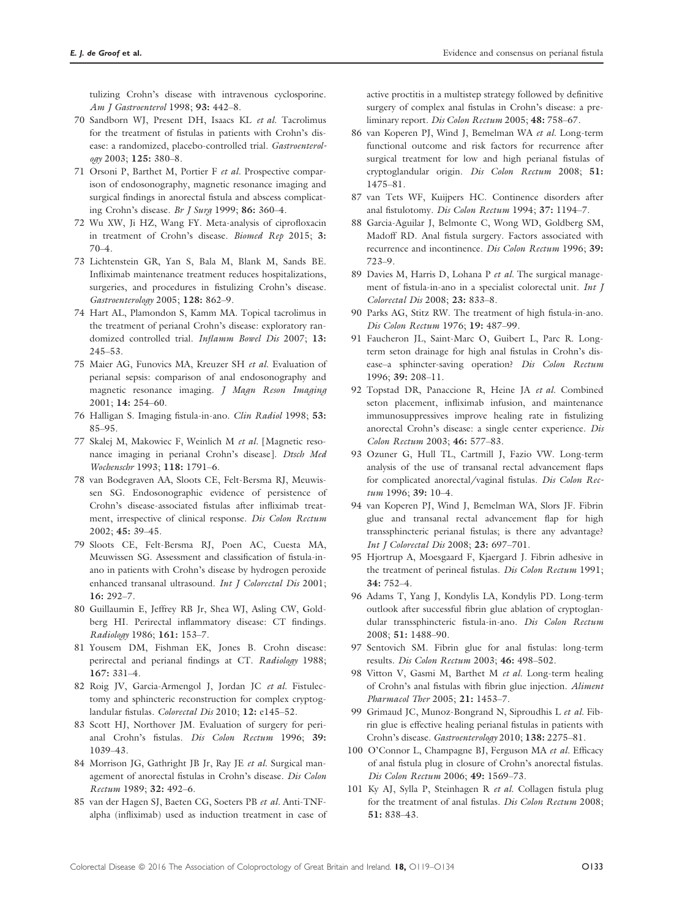tulizing Crohn's disease with intravenous cyclosporine. Am J Gastroenterol 1998; 93: 442–8.

- 70 Sandborn WJ, Present DH, Isaacs KL et al. Tacrolimus for the treatment of fistulas in patients with Crohn's disease: a randomized, placebo-controlled trial. Gastroenterology 2003; 125: 380–8.
- 71 Orsoni P, Barthet M, Portier F et al. Prospective comparison of endosonography, magnetic resonance imaging and surgical findings in anorectal fistula and abscess complicating Crohn's disease. Br J Surg 1999; 86: 360–4.
- 72 Wu XW, Ji HZ, Wang FY. Meta-analysis of ciprofloxacin in treatment of Crohn's disease. Biomed Rep 2015; 3: 70–4.
- 73 Lichtenstein GR, Yan S, Bala M, Blank M, Sands BE. Infliximab maintenance treatment reduces hospitalizations, surgeries, and procedures in fistulizing Crohn's disease. Gastroenterology 2005; 128: 862–9.
- 74 Hart AL, Plamondon S, Kamm MA. Topical tacrolimus in the treatment of perianal Crohn's disease: exploratory randomized controlled trial. Inflamm Bowel Dis 2007; 13: 245–53.
- 75 Maier AG, Funovics MA, Kreuzer SH et al. Evaluation of perianal sepsis: comparison of anal endosonography and magnetic resonance imaging. J Magn Reson Imaging 2001; 14: 254–60.
- 76 Halligan S. Imaging fistula-in-ano. Clin Radiol 1998; 53: 85–95.
- 77 Skalej M, Makowiec F, Weinlich M et al. [Magnetic resonance imaging in perianal Crohn's disease]. Dtsch Med Wochenschr 1993; 118: 1791–6.
- 78 van Bodegraven AA, Sloots CE, Felt-Bersma RJ, Meuwissen SG. Endosonographic evidence of persistence of Crohn's disease-associated fistulas after infliximab treatment, irrespective of clinical response. Dis Colon Rectum 2002; 45: 39–45.
- 79 Sloots CE, Felt-Bersma RJ, Poen AC, Cuesta MA, Meuwissen SG. Assessment and classification of fistula-inano in patients with Crohn's disease by hydrogen peroxide enhanced transanal ultrasound. Int J Colorectal Dis 2001; 16: 292–7.
- 80 Guillaumin E, Jeffrey RB Jr, Shea WJ, Asling CW, Goldberg HI. Perirectal inflammatory disease: CT findings. Radiology 1986; 161: 153–7.
- 81 Yousem DM, Fishman EK, Jones B. Crohn disease: perirectal and perianal findings at CT. Radiology 1988; 167: 331–4.
- 82 Roig JV, Garcia-Armengol J, Jordan JC et al. Fistulectomy and sphincteric reconstruction for complex cryptoglandular fistulas. Colorectal Dis 2010; 12: e145–52.
- 83 Scott HJ, Northover JM. Evaluation of surgery for perianal Crohn's fistulas. Dis Colon Rectum 1996; 39: 1039–43.
- 84 Morrison JG, Gathright JB Jr, Ray JE et al. Surgical management of anorectal fistulas in Crohn's disease. Dis Colon Rectum 1989; 32: 492–6.
- 85 van der Hagen SJ, Baeten CG, Soeters PB et al. Anti-TNFalpha (infliximab) used as induction treatment in case of

active proctitis in a multistep strategy followed by definitive surgery of complex anal fistulas in Crohn's disease: a preliminary report. Dis Colon Rectum 2005; 48: 758–67.

- 86 van Koperen PJ, Wind J, Bemelman WA et al. Long-term functional outcome and risk factors for recurrence after surgical treatment for low and high perianal fistulas of cryptoglandular origin. Dis Colon Rectum 2008; 51: 1475–81.
- 87 van Tets WF, Kuijpers HC. Continence disorders after anal fistulotomy. Dis Colon Rectum 1994; 37: 1194–7.
- 88 Garcia-Aguilar J, Belmonte C, Wong WD, Goldberg SM, Madoff RD. Anal fistula surgery. Factors associated with recurrence and incontinence. Dis Colon Rectum 1996; 39: 723–9.
- 89 Davies M, Harris D, Lohana P et al. The surgical management of fistula-in-ano in a specialist colorectal unit. Int J Colorectal Dis 2008; 23: 833–8.
- 90 Parks AG, Stitz RW. The treatment of high fistula-in-ano. Dis Colon Rectum 1976; 19: 487–99.
- 91 Faucheron JL, Saint-Marc O, Guibert L, Parc R. Longterm seton drainage for high anal fistulas in Crohn's disease–a sphincter-saving operation? Dis Colon Rectum 1996; 39: 208–11.
- 92 Topstad DR, Panaccione R, Heine JA et al. Combined seton placement, infliximab infusion, and maintenance immunosuppressives improve healing rate in fistulizing anorectal Crohn's disease: a single center experience. Dis Colon Rectum 2003; 46: 577–83.
- 93 Ozuner G, Hull TL, Cartmill J, Fazio VW. Long-term analysis of the use of transanal rectal advancement flaps for complicated anorectal/vaginal fistulas. Dis Colon Rectum 1996; 39: 10-4.
- 94 van Koperen PJ, Wind J, Bemelman WA, Slors JF. Fibrin glue and transanal rectal advancement flap for high transsphincteric perianal fistulas; is there any advantage? Int J Colorectal Dis 2008; 23: 697–701.
- 95 Hjortrup A, Moesgaard F, Kjaergard J. Fibrin adhesive in the treatment of perineal fistulas. Dis Colon Rectum 1991; 34: 752–4.
- 96 Adams T, Yang J, Kondylis LA, Kondylis PD. Long-term outlook after successful fibrin glue ablation of cryptoglandular transsphincteric fistula-in-ano. Dis Colon Rectum 2008; 51: 1488–90.
- 97 Sentovich SM. Fibrin glue for anal fistulas: long-term results. Dis Colon Rectum 2003; 46: 498–502.
- 98 Vitton V, Gasmi M, Barthet M et al. Long-term healing of Crohn's anal fistulas with fibrin glue injection. Aliment Pharmacol Ther 2005; 21: 1453–7.
- 99 Grimaud JC, Munoz-Bongrand N, Siproudhis L et al. Fibrin glue is effective healing perianal fistulas in patients with Crohn's disease. Gastroenterology 2010; 138: 2275–81.
- 100 O'Connor L, Champagne BJ, Ferguson MA et al. Efficacy of anal fistula plug in closure of Crohn's anorectal fistulas. Dis Colon Rectum 2006; 49: 1569–73.
- 101 Ky AJ, Sylla P, Steinhagen R et al. Collagen fistula plug for the treatment of anal fistulas. Dis Colon Rectum 2008; 51: 838–43.